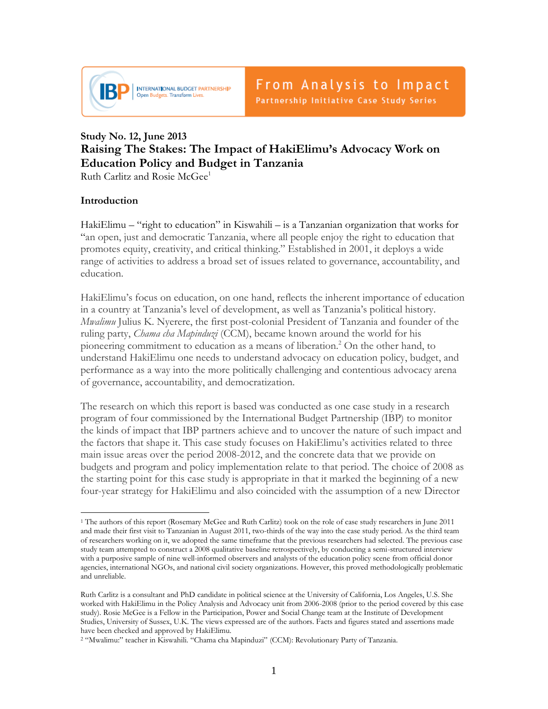

**INTERNATIONAL BUDGET PARTNERSHIP**<br>Open Budgets. Transform Lives.

# **Study No. 12, June 2013 Raising The Stakes: The Impact of HakiElimu's Advocacy Work on Education Policy and Budget in Tanzania**

Ruth Carlitz and Rosie McGee<sup>1</sup>

# **Introduction**

HakiElimu – "right to education" in Kiswahili – is a Tanzanian organization that works for "an open, just and democratic Tanzania, where all people enjoy the right to education that promotes equity, creativity, and critical thinking." Established in 2001, it deploys a wide range of activities to address a broad set of issues related to governance, accountability, and education.

HakiElimu's focus on education, on one hand, reflects the inherent importance of education in a country at Tanzania's level of development, as well as Tanzania's political history. *Mwalimu* Julius K. Nyerere, the first post-colonial President of Tanzania and founder of the ruling party, *Chama cha Mapinduzi* (CCM), became known around the world for his pioneering commitment to education as a means of liberation.<sup>2</sup> On the other hand, to understand HakiElimu one needs to understand advocacy on education policy, budget, and performance as a way into the more politically challenging and contentious advocacy arena of governance, accountability, and democratization.

The research on which this report is based was conducted as one case study in a research program of four commissioned by the International Budget Partnership (IBP) to monitor the kinds of impact that IBP partners achieve and to uncover the nature of such impact and the factors that shape it. This case study focuses on HakiElimu's activities related to three main issue areas over the period 2008-2012, and the concrete data that we provide on budgets and program and policy implementation relate to that period. The choice of 2008 as the starting point for this case study is appropriate in that it marked the beginning of a new four-year strategy for HakiElimu and also coincided with the assumption of a new Director

 $\overline{a}$ <sup>1</sup> The authors of this report (Rosemary McGee and Ruth Carlitz) took on the role of case study researchers in June 2011 and made their first visit to Tanzanian in August 2011, two-thirds of the way into the case study period. As the third team of researchers working on it, we adopted the same timeframe that the previous researchers had selected. The previous case study team attempted to construct a 2008 qualitative baseline retrospectively, by conducting a semi-structured interview with a purposive sample of nine well-informed observers and analysts of the education policy scene from official donor agencies, international NGOs, and national civil society organizations. However, this proved methodologically problematic and unreliable.

Ruth Carlitz is a consultant and PhD candidate in political science at the University of California, Los Angeles, U.S. She worked with HakiElimu in the Policy Analysis and Advocacy unit from 2006-2008 (prior to the period covered by this case study). Rosie McGee is a Fellow in the Participation, Power and Social Change team at the Institute of Development Studies, University of Sussex, U.K. The views expressed are of the authors. Facts and figures stated and assertions made have been checked and approved by HakiElimu.

<sup>2</sup> "Mwalimu:" teacher in Kiswahili. "Chama cha Mapinduzi" (CCM): Revolutionary Party of Tanzania.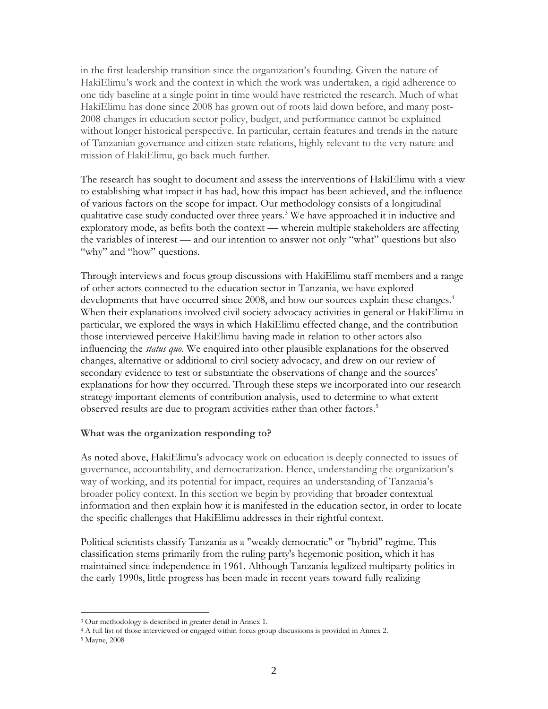in the first leadership transition since the organization's founding. Given the nature of HakiElimu's work and the context in which the work was undertaken, a rigid adherence to one tidy baseline at a single point in time would have restricted the research. Much of what HakiElimu has done since 2008 has grown out of roots laid down before, and many post-2008 changes in education sector policy, budget, and performance cannot be explained without longer historical perspective. In particular, certain features and trends in the nature of Tanzanian governance and citizen-state relations, highly relevant to the very nature and mission of HakiElimu, go back much further.

The research has sought to document and assess the interventions of HakiElimu with a view to establishing what impact it has had, how this impact has been achieved, and the influence of various factors on the scope for impact. Our methodology consists of a longitudinal qualitative case study conducted over three years.<sup>3</sup> We have approached it in inductive and exploratory mode, as befits both the context — wherein multiple stakeholders are affecting the variables of interest — and our intention to answer not only "what" questions but also "why" and "how" questions.

Through interviews and focus group discussions with HakiElimu staff members and a range of other actors connected to the education sector in Tanzania, we have explored developments that have occurred since 2008, and how our sources explain these changes.<sup>4</sup> When their explanations involved civil society advocacy activities in general or HakiElimu in particular, we explored the ways in which HakiElimu effected change, and the contribution those interviewed perceive HakiElimu having made in relation to other actors also influencing the *status quo*. We enquired into other plausible explanations for the observed changes, alternative or additional to civil society advocacy, and drew on our review of secondary evidence to test or substantiate the observations of change and the sources' explanations for how they occurred. Through these steps we incorporated into our research strategy important elements of contribution analysis, used to determine to what extent observed results are due to program activities rather than other factors.<sup>5</sup>

## **What was the organization responding to?**

As noted above, HakiElimu's advocacy work on education is deeply connected to issues of governance, accountability, and democratization. Hence, understanding the organization's way of working, and its potential for impact, requires an understanding of Tanzania's broader policy context. In this section we begin by providing that broader contextual information and then explain how it is manifested in the education sector, in order to locate the specific challenges that HakiElimu addresses in their rightful context.

Political scientists classify Tanzania as a "weakly democratic" or "hybrid" regime. This classification stems primarily from the ruling party's hegemonic position, which it has maintained since independence in 1961. Although Tanzania legalized multiparty politics in the early 1990s, little progress has been made in recent years toward fully realizing

<sup>3</sup> Our methodology is described in greater detail in Annex 1.

<sup>&</sup>lt;sup>4</sup> A full list of those interviewed or engaged within focus group discussions is provided in Annex 2.

<sup>5</sup> Mayne, 2008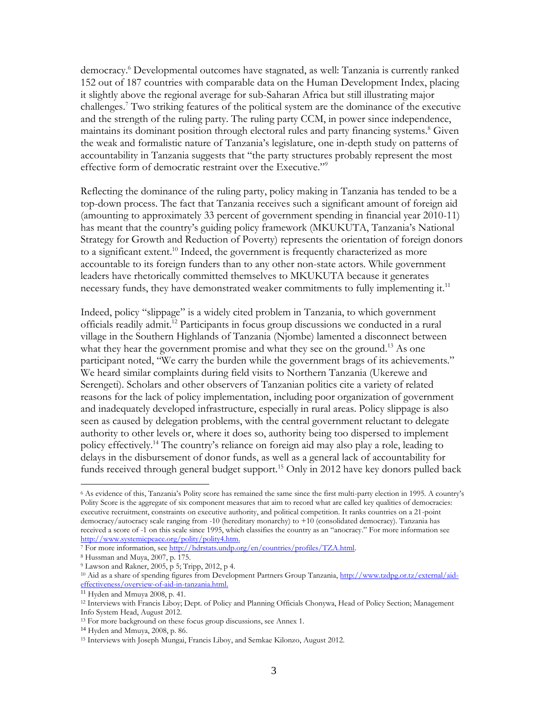democracy.<sup>6</sup> Developmental outcomes have stagnated, as well: Tanzania is currently ranked 152 out of 187 countries with comparable data on the Human Development Index, placing it slightly above the regional average for sub-Saharan Africa but still illustrating major challenges.<sup>7</sup> Two striking features of the political system are the dominance of the executive and the strength of the ruling party. The ruling party CCM, in power since independence, maintains its dominant position through electoral rules and party financing systems.<sup>8</sup> Given the weak and formalistic nature of Tanzania's legislature, one in-depth study on patterns of accountability in Tanzania suggests that "the party structures probably represent the most effective form of democratic restraint over the Executive."<sup>9</sup>

Reflecting the dominance of the ruling party, policy making in Tanzania has tended to be a top-down process. The fact that Tanzania receives such a significant amount of foreign aid (amounting to approximately 33 percent of government spending in financial year 2010-11) has meant that the country's guiding policy framework (MKUKUTA, Tanzania's National Strategy for Growth and Reduction of Poverty) represents the orientation of foreign donors to a significant extent.<sup>10</sup> Indeed, the government is frequently characterized as more accountable to its foreign funders than to any other non-state actors. While government leaders have rhetorically committed themselves to MKUKUTA because it generates necessary funds, they have demonstrated weaker commitments to fully implementing it.<sup>11</sup>

Indeed, policy "slippage" is a widely cited problem in Tanzania, to which government officials readily admit.<sup>12</sup> Participants in focus group discussions we conducted in a rural village in the Southern Highlands of Tanzania (Njombe) lamented a disconnect between what they hear the government promise and what they see on the ground.<sup>13</sup> As one participant noted, "We carry the burden while the government brags of its achievements." We heard similar complaints during field visits to Northern Tanzania (Ukerewe and Serengeti). Scholars and other observers of Tanzanian politics cite a variety of related reasons for the lack of policy implementation, including poor organization of government and inadequately developed infrastructure, especially in rural areas. Policy slippage is also seen as caused by delegation problems, with the central government reluctant to delegate authority to other levels or, where it does so, authority being too dispersed to implement policy effectively. <sup>14</sup> The country's reliance on foreign aid may also play a role, leading to delays in the disbursement of donor funds, as well as a general lack of accountability for funds received through general budget support.<sup>15</sup> Only in 2012 have key donors pulled back

<sup>7</sup> For more information, see http://hdrstats.undp.org/en/countries/profiles/TZA.html.

<sup>6</sup> As evidence of this, Tanzania's Polity score has remained the same since the first multi-party election in 1995. A country's Polity Score is the aggregate of six component measures that aim to record what are called key qualities of democracies: executive recruitment, constraints on executive authority, and political competition. It ranks countries on a 21-point democracy/autocracy scale ranging from -10 (hereditary monarchy) to +10 (consolidated democracy). Tanzania has received a score of -1 on this scale since 1995, which classifies the country as an "anocracy." For more information see [http://www.systemicpeace.org/polity/polity4.htm.](http://www.systemicpeace.org/polity/polity4.htm)

<sup>8</sup> Hussman and Muya, 2007, p. 175.

<sup>9</sup> Lawson and Rakner, 2005, p 5; Tripp, 2012, p 4.

<sup>10</sup> Aid as a share of spending figures from Development Partners Group Tanzania, [http://www.tzdpg.or.tz/external/aid](http://www.tzdpg.or.tz/external/aid-effectiveness/overview-of-aid-in-tanzania.html)[effectiveness/overview-of-aid-in-tanzania.html.](http://www.tzdpg.or.tz/external/aid-effectiveness/overview-of-aid-in-tanzania.html)

<sup>11</sup> Hyden and Mmuya 2008, p. 41.

<sup>12</sup> Interviews with Francis Liboy; Dept. of Policy and Planning Officials Chonywa, Head of Policy Section; Management Info System Head, August 2012.

<sup>&</sup>lt;sup>13</sup> For more background on these focus group discussions, see Annex 1.

<sup>14</sup> Hyden and Mmuya, 2008, p. 86.

<sup>15</sup> Interviews with Joseph Mungai, Francis Liboy, and Semkae Kilonzo, August 2012.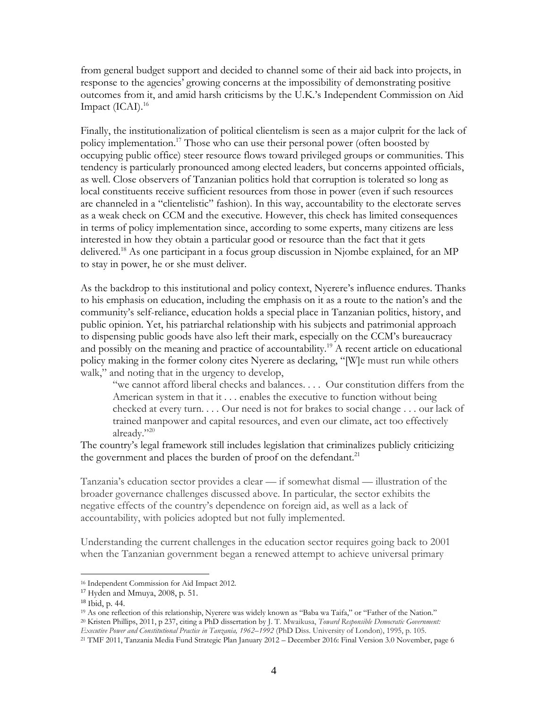from general budget support and decided to channel some of their aid back into projects, in response to the agencies' growing concerns at the impossibility of demonstrating positive outcomes from it, and amid harsh criticisms by the U.K.'s Independent Commission on Aid Impact (ICAI). 16

Finally, the institutionalization of political clientelism is seen as a major culprit for the lack of policy implementation.<sup>17</sup> Those who can use their personal power (often boosted by occupying public office) steer resource flows toward privileged groups or communities. This tendency is particularly pronounced among elected leaders, but concerns appointed officials, as well. Close observers of Tanzanian politics hold that corruption is tolerated so long as local constituents receive sufficient resources from those in power (even if such resources are channeled in a "clientelistic" fashion). In this way, accountability to the electorate serves as a weak check on CCM and the executive. However, this check has limited consequences in terms of policy implementation since, according to some experts, many citizens are less interested in how they obtain a particular good or resource than the fact that it gets delivered. <sup>18</sup> As one participant in a focus group discussion in Njombe explained, for an MP to stay in power, he or she must deliver.

As the backdrop to this institutional and policy context, Nyerere's influence endures. Thanks to his emphasis on education, including the emphasis on it as a route to the nation's and the community's self-reliance, education holds a special place in Tanzanian politics, history, and public opinion. Yet, his patriarchal relationship with his subjects and patrimonial approach to dispensing public goods have also left their mark, especially on the CCM's bureaucracy and possibly on the meaning and practice of accountability.<sup>19</sup> A recent article on educational policy making in the former colony cites Nyerere as declaring, "[W]e must run while others walk," and noting that in the urgency to develop,

"we cannot afford liberal checks and balances. . . . Our constitution differs from the American system in that it *. . .* enables the executive to function without being checked at every turn. *. . .* Our need is not for brakes to social change . . . our lack of trained manpower and capital resources, and even our climate, act too effectively already."<sup>20</sup>

The country's legal framework still includes legislation that criminalizes publicly criticizing the government and places the burden of proof on the defendant.<sup>21</sup>

Tanzania's education sector provides a clear — if somewhat dismal — illustration of the broader governance challenges discussed above. In particular, the sector exhibits the negative effects of the country's dependence on foreign aid, as well as a lack of accountability, with policies adopted but not fully implemented.

Understanding the current challenges in the education sector requires going back to 2001 when the Tanzanian government began a renewed attempt to achieve universal primary

 $\overline{a}$ 

<sup>19</sup> As one reflection of this relationship, Nyerere was widely known as "Baba wa Taifa," or "Father of the Nation." <sup>20</sup> Kristen Phillips, 2011, p 237, citing a PhD dissertation by J. T. Mwaikusa, *Toward Responsible Democratic Government: Executive Power and Constitutional Practice in Tanzania, 1962–1992* (PhD Diss. University of London), 1995, p. 105.

<sup>16</sup> Independent Commission for Aid Impact 2012.

<sup>17</sup> Hyden and Mmuya, 2008, p. 51.

<sup>18</sup> Ibid, p. 44.

<sup>21</sup> TMF 2011, Tanzania Media Fund Strategic Plan January 2012 – December 2016: Final Version 3.0 November, page 6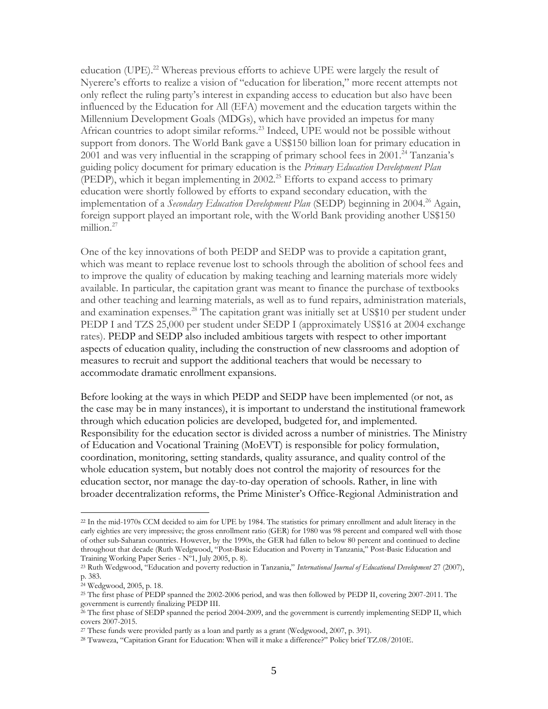education (UPE).<sup>22</sup> Whereas previous efforts to achieve UPE were largely the result of Nyerere's efforts to realize a vision of "education for liberation," more recent attempts not only reflect the ruling party's interest in expanding access to education but also have been influenced by the Education for All (EFA) movement and the education targets within the Millennium Development Goals (MDGs), which have provided an impetus for many African countries to adopt similar reforms.<sup>23</sup> Indeed, UPE would not be possible without support from donors. The World Bank gave a US\$150 billion loan for primary education in 2001 and was very influential in the scrapping of primary school fees in 2001.<sup>24</sup> Tanzania's guiding policy document for primary education is the *Primary Education Development Plan* (PEDP), which it began implementing in 2002.<sup>25</sup> Efforts to expand access to primary education were shortly followed by efforts to expand secondary education, with the implementation of a *Secondary Education Development Plan* (SEDP) beginning in 2004.<sup>26</sup> Again, foreign support played an important role, with the World Bank providing another US\$150 million.<sup>27</sup>

One of the key innovations of both PEDP and SEDP was to provide a capitation grant, which was meant to replace revenue lost to schools through the abolition of school fees and to improve the quality of education by making teaching and learning materials more widely available. In particular, the capitation grant was meant to finance the purchase of textbooks and other teaching and learning materials, as well as to fund repairs, administration materials, and examination expenses.<sup>28</sup> The capitation grant was initially set at US\$10 per student under PEDP I and TZS 25,000 per student under SEDP I (approximately US\$16 at 2004 exchange rates). PEDP and SEDP also included ambitious targets with respect to other important aspects of education quality, including the construction of new classrooms and adoption of measures to recruit and support the additional teachers that would be necessary to accommodate dramatic enrollment expansions.

Before looking at the ways in which PEDP and SEDP have been implemented (or not, as the case may be in many instances), it is important to understand the institutional framework through which education policies are developed, budgeted for, and implemented. Responsibility for the education sector is divided across a number of ministries. The Ministry of Education and Vocational Training (MoEVT) is responsible for policy formulation, coordination, monitoring, setting standards, quality assurance, and quality control of the whole education system, but notably does not control the majority of resources for the education sector, nor manage the day-to-day operation of schools. Rather, in line with broader decentralization reforms, the Prime Minister's Office-Regional Administration and

<sup>22</sup> In the mid-1970s CCM decided to aim for UPE by 1984. The statistics for primary enrollment and adult literacy in the early eighties are very impressive; the gross enrollment ratio (GER) for 1980 was 98 percent and compared well with those of other sub-Saharan countries. However, by the 1990s, the GER had fallen to below 80 percent and continued to decline throughout that decade (Ruth Wedgwood, "Post-Basic Education and Poverty in Tanzania," Post-Basic Education and Training Working Paper Series - Nº1, July 2005, p. 8).

<sup>23</sup> Ruth Wedgwood, "Education and poverty reduction in Tanzania," *International Journal of Educational Development* 27 (2007), p. 383.

<sup>24</sup> Wedgwood, 2005, p. 18.

<sup>25</sup> The first phase of PEDP spanned the 2002-2006 period, and was then followed by PEDP II, covering 2007-2011. The government is currently finalizing PEDP III.

<sup>&</sup>lt;sup>26</sup> The first phase of SEDP spanned the period 2004-2009, and the government is currently implementing SEDP II, which covers 2007-2015.

<sup>&</sup>lt;sup>27</sup> These funds were provided partly as a loan and partly as a grant (Wedgwood, 2007, p. 391).

<sup>28</sup> Twaweza, "Capitation Grant for Education: When will it make a difference?" Policy brief TZ.08/2010E.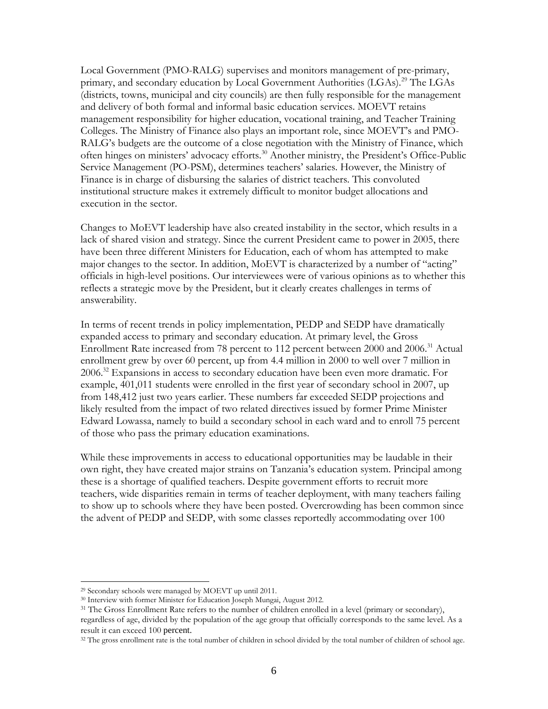Local Government (PMO-RALG) supervises and monitors management of pre-primary, primary, and secondary education by Local Government Authorities (LGAs).<sup>29</sup> The LGAs (districts, towns, municipal and city councils) are then fully responsible for the management and delivery of both formal and informal basic education services. MOEVT retains management responsibility for higher education, vocational training, and Teacher Training Colleges. The Ministry of Finance also plays an important role, since MOEVT's and PMO-RALG's budgets are the outcome of a close negotiation with the Ministry of Finance, which often hinges on ministers' advocacy efforts.<sup>30</sup> Another ministry, the President's Office-Public Service Management (PO-PSM), determines teachers' salaries. However, the Ministry of Finance is in charge of disbursing the salaries of district teachers. This convoluted institutional structure makes it extremely difficult to monitor budget allocations and execution in the sector.

Changes to MoEVT leadership have also created instability in the sector, which results in a lack of shared vision and strategy. Since the current President came to power in 2005, there have been three different Ministers for Education, each of whom has attempted to make major changes to the sector. In addition, MoEVT is characterized by a number of "acting" officials in high-level positions. Our interviewees were of various opinions as to whether this reflects a strategic move by the President, but it clearly creates challenges in terms of answerability.

In terms of recent trends in policy implementation, PEDP and SEDP have dramatically expanded access to primary and secondary education. At primary level, the Gross Enrollment Rate increased from 78 percent to 112 percent between 2000 and 2006.<sup>31</sup> Actual enrollment grew by over 60 percent, up from 4.4 million in 2000 to well over 7 million in 2006.<sup>32</sup> Expansions in access to secondary education have been even more dramatic. For example, 401,011 students were enrolled in the first year of secondary school in 2007, up from 148,412 just two years earlier. These numbers far exceeded SEDP projections and likely resulted from the impact of two related directives issued by former Prime Minister Edward Lowassa, namely to build a secondary school in each ward and to enroll 75 percent of those who pass the primary education examinations.

While these improvements in access to educational opportunities may be laudable in their own right, they have created major strains on Tanzania's education system. Principal among these is a shortage of qualified teachers. Despite government efforts to recruit more teachers, wide disparities remain in terms of teacher deployment, with many teachers failing to show up to schools where they have been posted. Overcrowding has been common since the advent of PEDP and SEDP, with some classes reportedly accommodating over 100

<sup>29</sup> Secondary schools were managed by MOEVT up until 2011.

<sup>30</sup> Interview with former Minister for Education Joseph Mungai, August 2012.

<sup>&</sup>lt;sup>31</sup> The Gross Enrollment Rate refers to the number of children enrolled in a level (primary or secondary),

regardless of age, divided by the population of the age group that officially corresponds to the same level. As a result it can exceed 100 percent.

<sup>&</sup>lt;sup>32</sup> The gross enrollment rate is the total number of children in school divided by the total number of children of school age.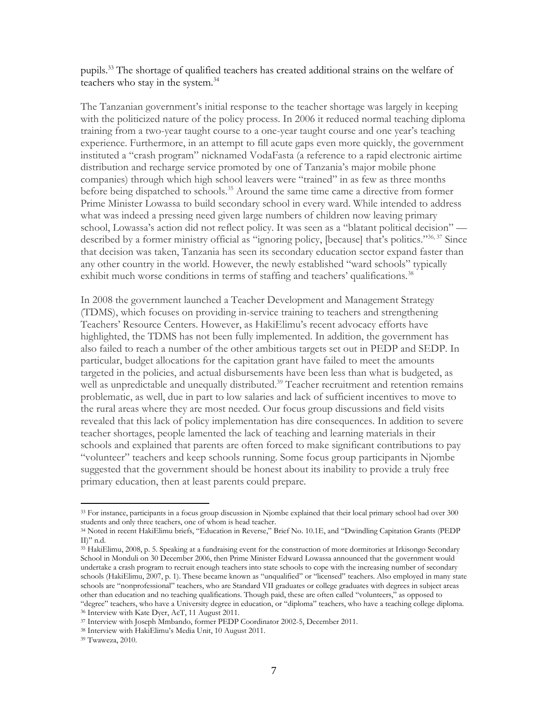pupils.<sup>33</sup> The shortage of qualified teachers has created additional strains on the welfare of teachers who stay in the system.<sup>34</sup>

The Tanzanian government's initial response to the teacher shortage was largely in keeping with the politicized nature of the policy process. In 2006 it reduced normal teaching diploma training from a two-year taught course to a one-year taught course and one year's teaching experience. Furthermore, in an attempt to fill acute gaps even more quickly, the government instituted a "crash program" nicknamed VodaFasta (a reference to a rapid electronic airtime distribution and recharge service promoted by one of Tanzania's major mobile phone companies) through which high school leavers were "trained" in as few as three months before being dispatched to schools.<sup>35</sup> Around the same time came a directive from former Prime Minister Lowassa to build secondary school in every ward. While intended to address what was indeed a pressing need given large numbers of children now leaving primary school, Lowassa's action did not reflect policy. It was seen as a "blatant political decision" described by a former ministry official as "ignoring policy, [because] that's politics."<sup>36, 37</sup> Since that decision was taken, Tanzania has seen its secondary education sector expand faster than any other country in the world. However, the newly established "ward schools" typically exhibit much worse conditions in terms of staffing and teachers' qualifications.<sup>38</sup>

In 2008 the government launched a Teacher Development and Management Strategy (TDMS), which focuses on providing in-service training to teachers and strengthening Teachers' Resource Centers. However, as HakiElimu's recent advocacy efforts have highlighted, the TDMS has not been fully implemented. In addition, the government has also failed to reach a number of the other ambitious targets set out in PEDP and SEDP. In particular, budget allocations for the capitation grant have failed to meet the amounts targeted in the policies, and actual disbursements have been less than what is budgeted, as well as unpredictable and unequally distributed.<sup>39</sup> Teacher recruitment and retention remains problematic, as well, due in part to low salaries and lack of sufficient incentives to move to the rural areas where they are most needed. Our focus group discussions and field visits revealed that this lack of policy implementation has dire consequences. In addition to severe teacher shortages, people lamented the lack of teaching and learning materials in their schools and explained that parents are often forced to make significant contributions to pay "volunteer" teachers and keep schools running. Some focus group participants in Njombe suggested that the government should be honest about its inability to provide a truly free primary education, then at least parents could prepare.

<sup>35</sup> HakiElimu, 2008, p. 5. Speaking at a fundraising event for the construction of more dormitories at Irkisongo Secondary School in Monduli on 30 December 2006, then Prime Minister Edward Lowassa announced that the government would undertake a crash program to recruit enough teachers into state schools to cope with the increasing number of secondary schools (HakiElimu, 2007, p. 1). These became known as "unqualified" or "licensed" teachers. Also employed in many state schools are "nonprofessional" teachers, who are Standard VII graduates or college graduates with degrees in subject areas other than education and no teaching qualifications. Though paid, these are often called "volunteers," as opposed to "degree" teachers, who have a University degree in education, or "diploma" teachers, who have a teaching college diploma. <sup>36</sup> Interview with Kate Dyer, AcT, 11 August 2011.

<sup>33</sup> For instance, participants in a focus group discussion in Njombe explained that their local primary school had over 300 students and only three teachers, one of whom is head teacher.

<sup>34</sup> Noted in recent HakiElimu briefs, "Education in Reverse," Brief No. 10.1E, and "Dwindling Capitation Grants (PEDP II)" n.d.

<sup>37</sup> Interview with Joseph Mmbando, former PEDP Coordinator 2002-5, December 2011.

<sup>38</sup> Interview with HakiElimu's Media Unit, 10 August 2011.

<sup>39</sup> Twaweza, 2010.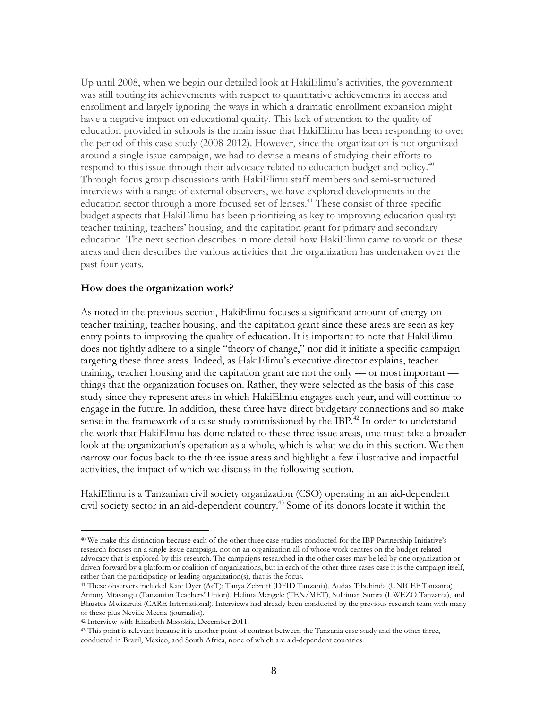Up until 2008, when we begin our detailed look at HakiElimu's activities, the government was still touting its achievements with respect to quantitative achievements in access and enrollment and largely ignoring the ways in which a dramatic enrollment expansion might have a negative impact on educational quality. This lack of attention to the quality of education provided in schools is the main issue that HakiElimu has been responding to over the period of this case study (2008-2012). However, since the organization is not organized around a single-issue campaign, we had to devise a means of studying their efforts to respond to this issue through their advocacy related to education budget and policy.<sup>40</sup> Through focus group discussions with HakiElimu staff members and semi-structured interviews with a range of external observers, we have explored developments in the education sector through a more focused set of lenses.<sup>41</sup> These consist of three specific budget aspects that HakiElimu has been prioritizing as key to improving education quality: teacher training, teachers' housing, and the capitation grant for primary and secondary education. The next section describes in more detail how HakiElimu came to work on these areas and then describes the various activities that the organization has undertaken over the past four years.

#### **How does the organization work?**

As noted in the previous section, HakiElimu focuses a significant amount of energy on teacher training, teacher housing, and the capitation grant since these areas are seen as key entry points to improving the quality of education. It is important to note that HakiElimu does not tightly adhere to a single "theory of change," nor did it initiate a specific campaign targeting these three areas. Indeed, as HakiElimu's executive director explains, teacher training, teacher housing and the capitation grant are not the only — or most important things that the organization focuses on. Rather, they were selected as the basis of this case study since they represent areas in which HakiElimu engages each year, and will continue to engage in the future. In addition, these three have direct budgetary connections and so make sense in the framework of a case study commissioned by the IBP.<sup>42</sup> In order to understand the work that HakiElimu has done related to these three issue areas, one must take a broader look at the organization's operation as a whole, which is what we do in this section. We then narrow our focus back to the three issue areas and highlight a few illustrative and impactful activities, the impact of which we discuss in the following section.

HakiElimu is a Tanzanian civil society organization (CSO) operating in an aid-dependent civil society sector in an aid-dependent country.<sup>43</sup> Some of its donors locate it within the

<sup>40</sup> We make this distinction because each of the other three case studies conducted for the IBP Partnership Initiative's research focuses on a single-issue campaign, not on an organization all of whose work centres on the budget-related advocacy that is explored by this research. The campaigns researched in the other cases may be led by one organization or driven forward by a platform or coalition of organizations, but in each of the other three cases case it is the campaign itself, rather than the participating or leading organization(s), that is the focus.

<sup>41</sup> These observers included Kate Dyer (AcT); Tanya Zebroff (DFID Tanzania), Audax Tibuhinda (UNICEF Tanzania), Antony Mtavangu (Tanzanian Teachers' Union), Helima Mengele (TEN/MET), Suleiman Sumra (UWEZO Tanzania), and Blaustus Mwizarubi (CARE International). Interviews had already been conducted by the previous research team with many of these plus Neville Meena (journalist).

<sup>42</sup> Interview with Elizabeth Missokia, December 2011.

<sup>&</sup>lt;sup>43</sup> This point is relevant because it is another point of contrast between the Tanzania case study and the other three, conducted in Brazil, Mexico, and South Africa, none of which are aid-dependent countries.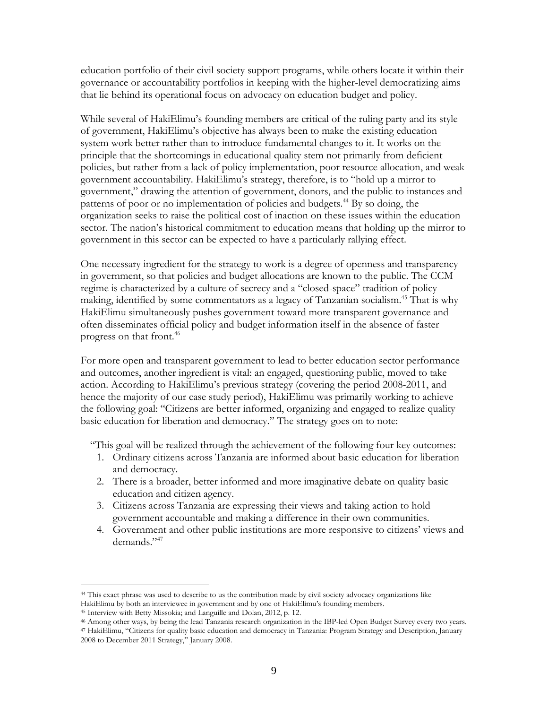education portfolio of their civil society support programs, while others locate it within their governance or accountability portfolios in keeping with the higher-level democratizing aims that lie behind its operational focus on advocacy on education budget and policy.

While several of HakiElimu's founding members are critical of the ruling party and its style of government, HakiElimu's objective has always been to make the existing education system work better rather than to introduce fundamental changes to it. It works on the principle that the shortcomings in educational quality stem not primarily from deficient policies, but rather from a lack of policy implementation, poor resource allocation, and weak government accountability. HakiElimu's strategy, therefore, is to "hold up a mirror to government," drawing the attention of government, donors, and the public to instances and patterns of poor or no implementation of policies and budgets.<sup>44</sup> By so doing, the organization seeks to raise the political cost of inaction on these issues within the education sector. The nation's historical commitment to education means that holding up the mirror to government in this sector can be expected to have a particularly rallying effect.

One necessary ingredient for the strategy to work is a degree of openness and transparency in government, so that policies and budget allocations are known to the public. The CCM regime is characterized by a culture of secrecy and a "closed-space" tradition of policy making, identified by some commentators as a legacy of Tanzanian socialism.<sup>45</sup> That is why HakiElimu simultaneously pushes government toward more transparent governance and often disseminates official policy and budget information itself in the absence of faster progress on that front.<sup>46</sup>

For more open and transparent government to lead to better education sector performance and outcomes, another ingredient is vital: an engaged, questioning public, moved to take action. According to HakiElimu's previous strategy (covering the period 2008-2011, and hence the majority of our case study period), HakiElimu was primarily working to achieve the following goal: "Citizens are better informed, organizing and engaged to realize quality basic education for liberation and democracy." The strategy goes on to note:

"This goal will be realized through the achievement of the following four key outcomes:

- 1. Ordinary citizens across Tanzania are informed about basic education for liberation and democracy.
- 2. There is a broader, better informed and more imaginative debate on quality basic education and citizen agency.
- 3. Citizens across Tanzania are expressing their views and taking action to hold government accountable and making a difference in their own communities.
- 4. Government and other public institutions are more responsive to citizens' views and demands."<sup>47</sup>

<sup>44</sup> This exact phrase was used to describe to us the contribution made by civil society advocacy organizations like HakiElimu by both an interviewee in government and by one of HakiElimu's founding members.

<sup>45</sup> Interview with Betty Missokia; and Languille and Dolan, 2012, p. 12.

<sup>46</sup> Among other ways, by being the lead Tanzania research organization in the IBP-led Open Budget Survey every two years. <sup>47</sup> HakiElimu, "Citizens for quality basic education and democracy in Tanzania: Program Strategy and Description, January

<sup>2008</sup> to December 2011 Strategy," January 2008.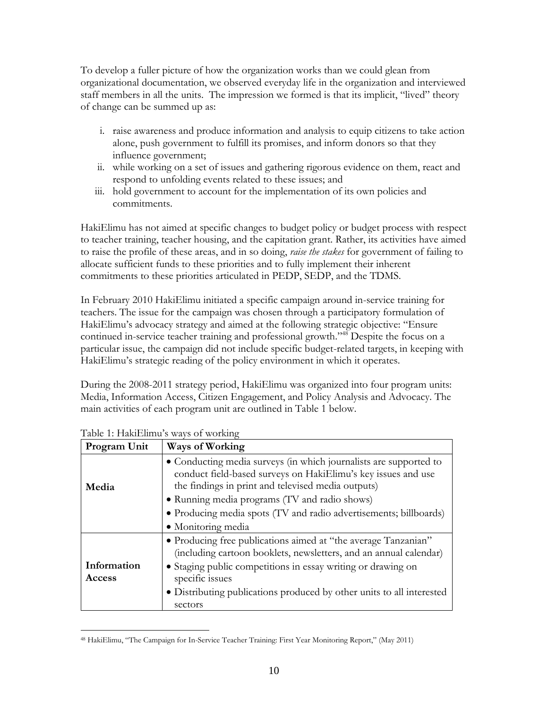To develop a fuller picture of how the organization works than we could glean from organizational documentation, we observed everyday life in the organization and interviewed staff members in all the units. The impression we formed is that its implicit, "lived" theory of change can be summed up as:

- i. raise awareness and produce information and analysis to equip citizens to take action alone, push government to fulfill its promises, and inform donors so that they influence government;
- ii. while working on a set of issues and gathering rigorous evidence on them, react and respond to unfolding events related to these issues; and
- iii. hold government to account for the implementation of its own policies and commitments.

HakiElimu has not aimed at specific changes to budget policy or budget process with respect to teacher training, teacher housing, and the capitation grant. Rather, its activities have aimed to raise the profile of these areas, and in so doing, *raise the stakes* for government of failing to allocate sufficient funds to these priorities and to fully implement their inherent commitments to these priorities articulated in PEDP, SEDP, and the TDMS.

In February 2010 HakiElimu initiated a specific campaign around in-service training for teachers. The issue for the campaign was chosen through a participatory formulation of HakiElimu's advocacy strategy and aimed at the following strategic objective: "Ensure continued in-service teacher training and professional growth."<sup>48</sup> Despite the focus on a particular issue, the campaign did not include specific budget-related targets, in keeping with HakiElimu's strategic reading of the policy environment in which it operates.

During the 2008-2011 strategy period, HakiElimu was organized into four program units: Media, Information Access, Citizen Engagement, and Policy Analysis and Advocacy. The main activities of each program unit are outlined in Table 1 below.

| Program Unit                 | Ways of Working                                                                                                                                                                                                                                                                                                                      |
|------------------------------|--------------------------------------------------------------------------------------------------------------------------------------------------------------------------------------------------------------------------------------------------------------------------------------------------------------------------------------|
| Media                        | • Conducting media surveys (in which journalists are supported to<br>conduct field-based surveys on HakiElimu's key issues and use<br>the findings in print and televised media outputs)<br>• Running media programs (TV and radio shows)<br>· Producing media spots (TV and radio advertisements; billboards)<br>• Monitoring media |
| Information<br><b>Access</b> | • Producing free publications aimed at "the average Tanzanian"<br>(including cartoon booklets, newsletters, and an annual calendar)<br>• Staging public competitions in essay writing or drawing on<br>specific issues<br>• Distributing publications produced by other units to all interested<br>sectors                           |

Table 1: HakiElimu's ways of working

 $\overline{a}$ <sup>48</sup> HakiElimu, "The Campaign for In-Service Teacher Training: First Year Monitoring Report," (May 2011)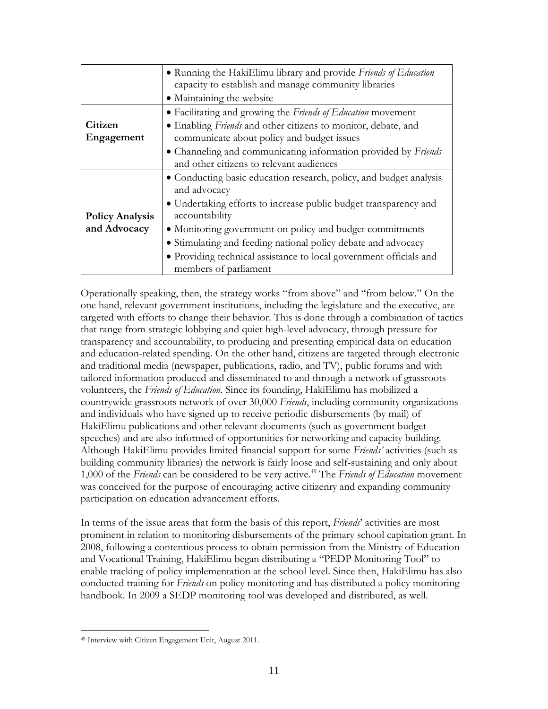|                                        | • Running the HakiElimu library and provide Friends of Education                                                                                                                                                                                                                                                                                                                                     |
|----------------------------------------|------------------------------------------------------------------------------------------------------------------------------------------------------------------------------------------------------------------------------------------------------------------------------------------------------------------------------------------------------------------------------------------------------|
|                                        | capacity to establish and manage community libraries<br>• Maintaining the website                                                                                                                                                                                                                                                                                                                    |
| Citizen<br>Engagement                  | • Facilitating and growing the Friends of Education movement<br>• Enabling Friends and other citizens to monitor, debate, and<br>communicate about policy and budget issues<br>• Channeling and communicating information provided by Friends<br>and other citizens to relevant audiences                                                                                                            |
| <b>Policy Analysis</b><br>and Advocacy | • Conducting basic education research, policy, and budget analysis<br>and advocacy<br>• Undertaking efforts to increase public budget transparency and<br>accountability<br>• Monitoring government on policy and budget commitments<br>• Stimulating and feeding national policy debate and advocacy<br>• Providing technical assistance to local government officials and<br>members of parliament |

Operationally speaking, then, the strategy works "from above" and "from below." On the one hand, relevant government institutions, including the legislature and the executive, are targeted with efforts to change their behavior. This is done through a combination of tactics that range from strategic lobbying and quiet high-level advocacy, through pressure for transparency and accountability, to producing and presenting empirical data on education and education-related spending. On the other hand, citizens are targeted through electronic and traditional media (newspaper, publications, radio, and TV), public forums and with tailored information produced and disseminated to and through a network of grassroots volunteers, the *Friends of Education*. Since its founding, HakiElimu has mobilized a countrywide grassroots network of over 30,000 *Friends*, including community organizations and individuals who have signed up to receive periodic disbursements (by mail) of HakiElimu publications and other relevant documents (such as government budget speeches) and are also informed of opportunities for networking and capacity building. Although HakiElimu provides limited financial support for some *Friends'* activities (such as building community libraries) the network is fairly loose and self-sustaining and only about 1,000 of the *Friends* can be considered to be very active.<sup>49</sup> The *Friends of Education* movement was conceived for the purpose of encouraging active citizenry and expanding community participation on education advancement efforts.

In terms of the issue areas that form the basis of this report, *Friends*' activities are most prominent in relation to monitoring disbursements of the primary school capitation grant. In 2008, following a contentious process to obtain permission from the Ministry of Education and Vocational Training, HakiElimu began distributing a "PEDP Monitoring Tool" to enable tracking of policy implementation at the school level. Since then, HakiElimu has also conducted training for *Friends* on policy monitoring and has distributed a policy monitoring handbook. In 2009 a SEDP monitoring tool was developed and distributed, as well.

 $\overline{a}$ <sup>49</sup> Interview with Citizen Engagement Unit, August 2011.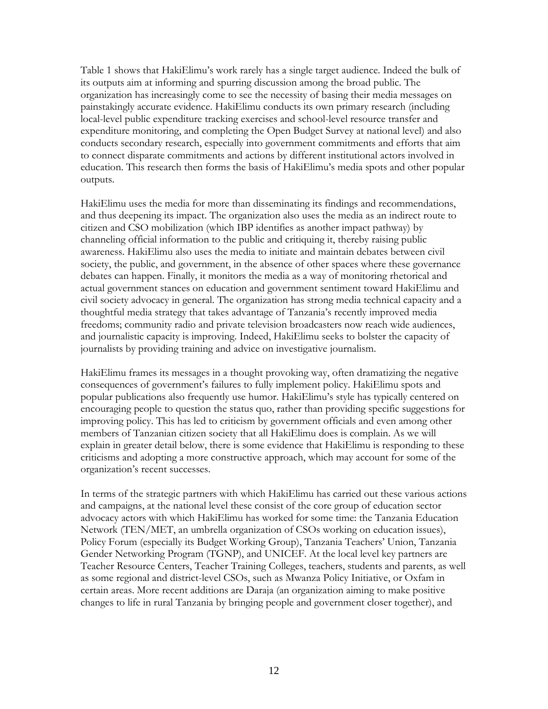Table 1 shows that HakiElimu's work rarely has a single target audience. Indeed the bulk of its outputs aim at informing and spurring discussion among the broad public. The organization has increasingly come to see the necessity of basing their media messages on painstakingly accurate evidence. HakiElimu conducts its own primary research (including local-level public expenditure tracking exercises and school-level resource transfer and expenditure monitoring, and completing the Open Budget Survey at national level) and also conducts secondary research, especially into government commitments and efforts that aim to connect disparate commitments and actions by different institutional actors involved in education. This research then forms the basis of HakiElimu's media spots and other popular outputs.

HakiElimu uses the media for more than disseminating its findings and recommendations, and thus deepening its impact. The organization also uses the media as an indirect route to citizen and CSO mobilization (which IBP identifies as another impact pathway) by channeling official information to the public and critiquing it, thereby raising public awareness. HakiElimu also uses the media to initiate and maintain debates between civil society, the public, and government, in the absence of other spaces where these governance debates can happen. Finally, it monitors the media as a way of monitoring rhetorical and actual government stances on education and government sentiment toward HakiElimu and civil society advocacy in general. The organization has strong media technical capacity and a thoughtful media strategy that takes advantage of Tanzania's recently improved media freedoms; community radio and private television broadcasters now reach wide audiences, and journalistic capacity is improving. Indeed, HakiElimu seeks to bolster the capacity of journalists by providing training and advice on investigative journalism.

HakiElimu frames its messages in a thought provoking way, often dramatizing the negative consequences of government's failures to fully implement policy. HakiElimu spots and popular publications also frequently use humor. HakiElimu's style has typically centered on encouraging people to question the status quo, rather than providing specific suggestions for improving policy. This has led to criticism by government officials and even among other members of Tanzanian citizen society that all HakiElimu does is complain. As we will explain in greater detail below, there is some evidence that HakiElimu is responding to these criticisms and adopting a more constructive approach, which may account for some of the organization's recent successes.

In terms of the strategic partners with which HakiElimu has carried out these various actions and campaigns, at the national level these consist of the core group of education sector advocacy actors with which HakiElimu has worked for some time: the Tanzania Education Network (TEN/MET, an umbrella organization of CSOs working on education issues), Policy Forum (especially its Budget Working Group), Tanzania Teachers' Union, Tanzania Gender Networking Program (TGNP), and UNICEF. At the local level key partners are Teacher Resource Centers, Teacher Training Colleges, teachers, students and parents, as well as some regional and district-level CSOs, such as Mwanza Policy Initiative, or Oxfam in certain areas. More recent additions are Daraja (an organization aiming to make positive changes to life in rural Tanzania by bringing people and government closer together), and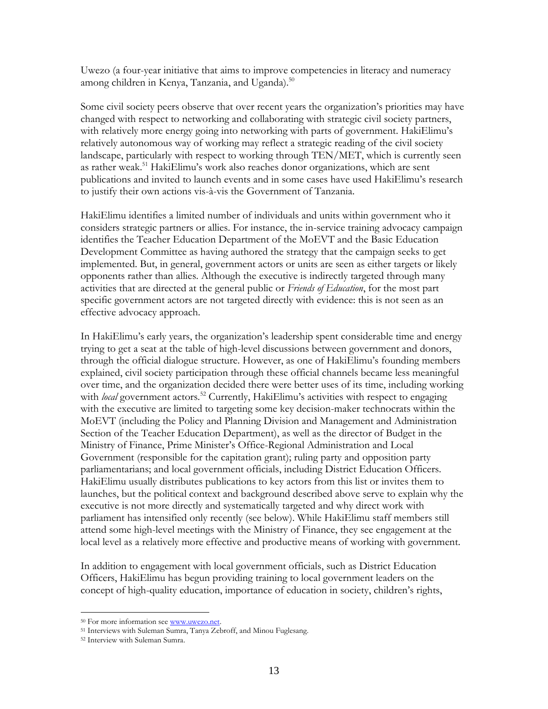Uwezo (a four-year initiative that aims to improve competencies in literacy and numeracy among children in Kenya, Tanzania, and Uganda).<sup>50</sup>

Some civil society peers observe that over recent years the organization's priorities may have changed with respect to networking and collaborating with strategic civil society partners, with relatively more energy going into networking with parts of government. HakiElimu's relatively autonomous way of working may reflect a strategic reading of the civil society landscape, particularly with respect to working through TEN/MET, which is currently seen as rather weak.<sup>51</sup> HakiElimu's work also reaches donor organizations, which are sent publications and invited to launch events and in some cases have used HakiElimu's research to justify their own actions vis-à-vis the Government of Tanzania.

HakiElimu identifies a limited number of individuals and units within government who it considers strategic partners or allies. For instance, the in-service training advocacy campaign identifies the Teacher Education Department of the MoEVT and the Basic Education Development Committee as having authored the strategy that the campaign seeks to get implemented. But, in general, government actors or units are seen as either targets or likely opponents rather than allies. Although the executive is indirectly targeted through many activities that are directed at the general public or *Friends of Education*, for the most part specific government actors are not targeted directly with evidence: this is not seen as an effective advocacy approach.

In HakiElimu's early years, the organization's leadership spent considerable time and energy trying to get a seat at the table of high-level discussions between government and donors, through the official dialogue structure. However, as one of HakiElimu's founding members explained, civil society participation through these official channels became less meaningful over time, and the organization decided there were better uses of its time, including working with *local* government actors.<sup>52</sup> Currently, HakiElimu's activities with respect to engaging with the executive are limited to targeting some key decision-maker technocrats within the MoEVT (including the Policy and Planning Division and Management and Administration Section of the Teacher Education Department), as well as the director of Budget in the Ministry of Finance, Prime Minister's Office-Regional Administration and Local Government (responsible for the capitation grant); ruling party and opposition party parliamentarians; and local government officials, including District Education Officers. HakiElimu usually distributes publications to key actors from this list or invites them to launches, but the political context and background described above serve to explain why the executive is not more directly and systematically targeted and why direct work with parliament has intensified only recently (see below). While HakiElimu staff members still attend some high-level meetings with the Ministry of Finance, they see engagement at the local level as a relatively more effective and productive means of working with government.

In addition to engagement with local government officials, such as District Education Officers, HakiElimu has begun providing training to local government leaders on the concept of high-quality education, importance of education in society, children's rights,

<sup>50</sup> For more information see [www.uwezo.net.](http://www.uwezo.net/) 

<sup>51</sup> Interviews with Suleman Sumra, Tanya Zebroff, and Minou Fuglesang.

<sup>52</sup> Interview with Suleman Sumra.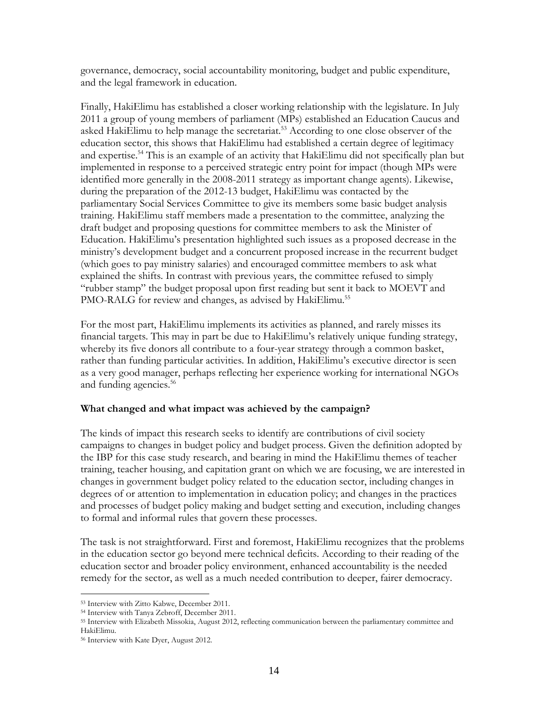governance, democracy, social accountability monitoring, budget and public expenditure, and the legal framework in education.

Finally, HakiElimu has established a closer working relationship with the legislature. In July 2011 a group of young members of parliament (MPs) established an Education Caucus and asked HakiElimu to help manage the secretariat.<sup>53</sup> According to one close observer of the education sector, this shows that HakiElimu had established a certain degree of legitimacy and expertise.<sup>54</sup> This is an example of an activity that HakiElimu did not specifically plan but implemented in response to a perceived strategic entry point for impact (though MPs were identified more generally in the 2008-2011 strategy as important change agents). Likewise, during the preparation of the 2012-13 budget, HakiElimu was contacted by the parliamentary Social Services Committee to give its members some basic budget analysis training. HakiElimu staff members made a presentation to the committee, analyzing the draft budget and proposing questions for committee members to ask the Minister of Education. HakiElimu's presentation highlighted such issues as a proposed decrease in the ministry's development budget and a concurrent proposed increase in the recurrent budget (which goes to pay ministry salaries) and encouraged committee members to ask what explained the shifts. In contrast with previous years, the committee refused to simply "rubber stamp" the budget proposal upon first reading but sent it back to MOEVT and PMO-RALG for review and changes, as advised by HakiElimu.<sup>55</sup>

For the most part, HakiElimu implements its activities as planned, and rarely misses its financial targets. This may in part be due to HakiElimu's relatively unique funding strategy, whereby its five donors all contribute to a four-year strategy through a common basket, rather than funding particular activities. In addition, HakiElimu's executive director is seen as a very good manager, perhaps reflecting her experience working for international NGOs and funding agencies.<sup>56</sup>

# **What changed and what impact was achieved by the campaign?**

The kinds of impact this research seeks to identify are contributions of civil society campaigns to changes in budget policy and budget process. Given the definition adopted by the IBP for this case study research, and bearing in mind the HakiElimu themes of teacher training, teacher housing, and capitation grant on which we are focusing, we are interested in changes in government budget policy related to the education sector, including changes in degrees of or attention to implementation in education policy; and changes in the practices and processes of budget policy making and budget setting and execution, including changes to formal and informal rules that govern these processes.

The task is not straightforward. First and foremost, HakiElimu recognizes that the problems in the education sector go beyond mere technical deficits. According to their reading of the education sector and broader policy environment, enhanced accountability is the needed remedy for the sector, as well as a much needed contribution to deeper, fairer democracy.

<sup>53</sup> Interview with Zitto Kabwe, December 2011.

<sup>54</sup> Interview with Tanya Zebroff, December 2011.

<sup>55</sup> Interview with Elizabeth Missokia, August 2012, reflecting communication between the parliamentary committee and HakiElimu.

<sup>56</sup> Interview with Kate Dyer, August 2012.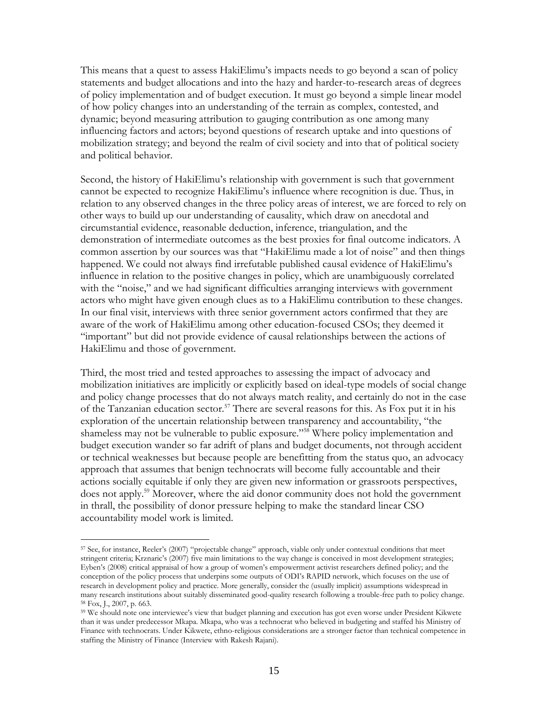This means that a quest to assess HakiElimu's impacts needs to go beyond a scan of policy statements and budget allocations and into the hazy and harder-to-research areas of degrees of policy implementation and of budget execution. It must go beyond a simple linear model of how policy changes into an understanding of the terrain as complex, contested, and dynamic; beyond measuring attribution to gauging contribution as one among many influencing factors and actors; beyond questions of research uptake and into questions of mobilization strategy; and beyond the realm of civil society and into that of political society and political behavior.

Second, the history of HakiElimu's relationship with government is such that government cannot be expected to recognize HakiElimu's influence where recognition is due. Thus, in relation to any observed changes in the three policy areas of interest, we are forced to rely on other ways to build up our understanding of causality, which draw on anecdotal and circumstantial evidence, reasonable deduction, inference, triangulation, and the demonstration of intermediate outcomes as the best proxies for final outcome indicators. A common assertion by our sources was that "HakiElimu made a lot of noise" and then things happened. We could not always find irrefutable published causal evidence of HakiElimu's influence in relation to the positive changes in policy, which are unambiguously correlated with the "noise," and we had significant difficulties arranging interviews with government actors who might have given enough clues as to a HakiElimu contribution to these changes. In our final visit, interviews with three senior government actors confirmed that they are aware of the work of HakiElimu among other education-focused CSOs; they deemed it "important" but did not provide evidence of causal relationships between the actions of HakiElimu and those of government.

Third, the most tried and tested approaches to assessing the impact of advocacy and mobilization initiatives are implicitly or explicitly based on ideal-type models of social change and policy change processes that do not always match reality, and certainly do not in the case of the Tanzanian education sector.<sup>57</sup> There are several reasons for this. As Fox put it in his exploration of the uncertain relationship between transparency and accountability, "the shameless may not be vulnerable to public exposure."<sup>58</sup> Where policy implementation and budget execution wander so far adrift of plans and budget documents, not through accident or technical weaknesses but because people are benefitting from the status quo, an advocacy approach that assumes that benign technocrats will become fully accountable and their actions socially equitable if only they are given new information or grassroots perspectives, does not apply.<sup>59</sup> Moreover, where the aid donor community does not hold the government in thrall, the possibility of donor pressure helping to make the standard linear CSO accountability model work is limited.

<sup>57</sup> See, for instance, Reeler's (2007) "projectable change" approach, viable only under contextual conditions that meet stringent criteria; Krznaric's (2007) five main limitations to the way change is conceived in most development strategies; Eyben's (2008) critical appraisal of how a group of women's empowerment activist researchers defined policy; and the conception of the policy process that underpins some outputs of ODI's RAPID network, which focuses on the use of research in development policy and practice. More generally, consider the (usually implicit) assumptions widespread in many research institutions about suitably disseminated good-quality research following a trouble-free path to policy change. <sup>58</sup> Fox, J., 2007, p. 663.

<sup>59</sup> We should note one interviewee's view that budget planning and execution has got even worse under President Kikwete than it was under predecessor Mkapa. Mkapa, who was a technocrat who believed in budgeting and staffed his Ministry of Finance with technocrats. Under Kikwete, ethno-religious considerations are a stronger factor than technical competence in staffing the Ministry of Finance (Interview with Rakesh Rajani).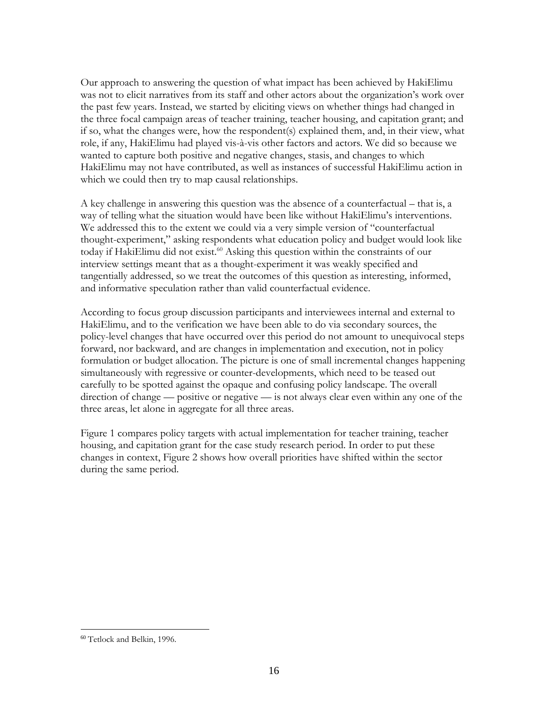Our approach to answering the question of what impact has been achieved by HakiElimu was not to elicit narratives from its staff and other actors about the organization's work over the past few years. Instead, we started by eliciting views on whether things had changed in the three focal campaign areas of teacher training, teacher housing, and capitation grant; and if so, what the changes were, how the respondent(s) explained them, and, in their view, what role, if any, HakiElimu had played vis-à-vis other factors and actors. We did so because we wanted to capture both positive and negative changes, stasis, and changes to which HakiElimu may not have contributed, as well as instances of successful HakiElimu action in which we could then try to map causal relationships.

A key challenge in answering this question was the absence of a counterfactual – that is, a way of telling what the situation would have been like without HakiElimu's interventions. We addressed this to the extent we could via a very simple version of "counterfactual thought-experiment," asking respondents what education policy and budget would look like today if HakiElimu did not exist.<sup>60</sup> Asking this question within the constraints of our interview settings meant that as a thought-experiment it was weakly specified and tangentially addressed, so we treat the outcomes of this question as interesting, informed, and informative speculation rather than valid counterfactual evidence.

According to focus group discussion participants and interviewees internal and external to HakiElimu, and to the verification we have been able to do via secondary sources, the policy-level changes that have occurred over this period do not amount to unequivocal steps forward, nor backward, and are changes in implementation and execution, not in policy formulation or budget allocation. The picture is one of small incremental changes happening simultaneously with regressive or counter-developments, which need to be teased out carefully to be spotted against the opaque and confusing policy landscape. The overall direction of change — positive or negative — is not always clear even within any one of the three areas, let alone in aggregate for all three areas.

Figure 1 compares policy targets with actual implementation for teacher training, teacher housing, and capitation grant for the case study research period. In order to put these changes in context, Figure 2 shows how overall priorities have shifted within the sector during the same period.

<sup>60</sup> Tetlock and Belkin, 1996.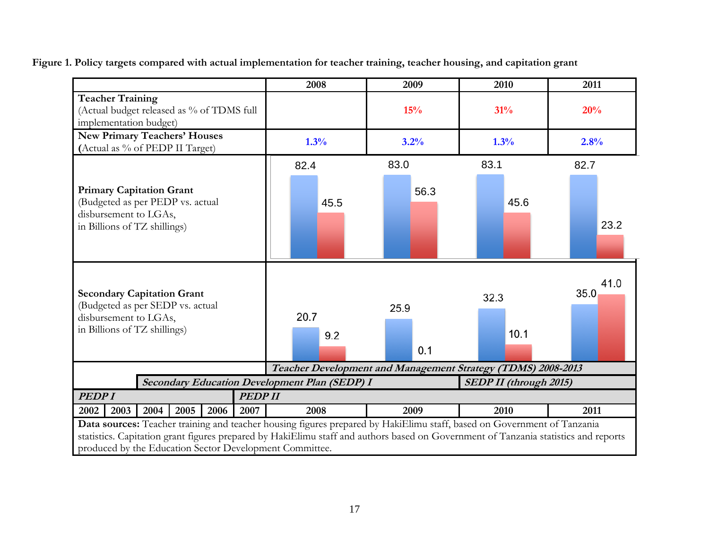**Figure 1. Policy targets compared with actual implementation for teacher training, teacher housing, and capitation grant**

|                                                                                                                                                                                                | 2008                   | 2009        | 2010                          | 2011         |
|------------------------------------------------------------------------------------------------------------------------------------------------------------------------------------------------|------------------------|-------------|-------------------------------|--------------|
| <b>Teacher Training</b><br>(Actual budget released as % of TDMS full<br>implementation budget)                                                                                                 |                        | 15%         | 31%                           | 20%          |
| <b>New Primary Teachers' Houses</b><br>(Actual as % of PEDP II Target)                                                                                                                         | 1.3%                   | 3.2%        | 1.3%                          | 2.8%         |
|                                                                                                                                                                                                | 82.4                   | 83.0        | 83.1                          | 82.7         |
| <b>Primary Capitation Grant</b><br>(Budgeted as per PEDP vs. actual<br>disbursement to LGAs,<br>in Billions of TZ shillings)                                                                   | 45.5                   | 56.3        | 45.6                          | 23.2         |
| <b>Secondary Capitation Grant</b><br>(Budgeted as per SEDP vs. actual<br>disbursement to LGAs,<br>in Billions of TZ shillings)                                                                 | 20.7<br>9.2            | 25.9<br>0.1 | 32.3<br>10.1                  | 41.0<br>35.0 |
| Teacher Development and Management Strategy (TDMS) 2008-2013                                                                                                                                   |                        |             |                               |              |
| Secondary Education Development Plan (SEDP) I                                                                                                                                                  |                        |             | <b>SEDP II</b> (through 2015) |              |
| <b>PEDPI</b><br>2004<br>2005<br>2006                                                                                                                                                           | <b>PEDP II</b><br>2008 | 2009        | 2010                          | 2011         |
| 2007<br>2002<br>2003<br>Data sources: Teacher training and teacher housing figures prepared by HakiElimu staff, based on Government of Tanzania                                                |                        |             |                               |              |
| statistics. Capitation grant figures prepared by HakiElimu staff and authors based on Government of Tanzania statistics and reports<br>produced by the Education Sector Development Committee. |                        |             |                               |              |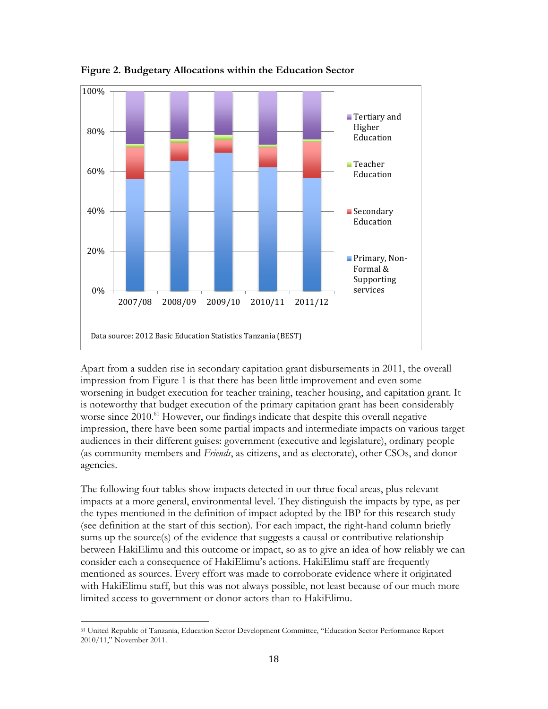

**Figure 2. Budgetary Allocations within the Education Sector**

Apart from a sudden rise in secondary capitation grant disbursements in 2011, the overall impression from Figure 1 is that there has been little improvement and even some worsening in budget execution for teacher training, teacher housing, and capitation grant. It is noteworthy that budget execution of the primary capitation grant has been considerably worse since 2010.<sup>61</sup> However, our findings indicate that despite this overall negative impression, there have been some partial impacts and intermediate impacts on various target audiences in their different guises: government (executive and legislature), ordinary people (as community members and *Friends*, as citizens, and as electorate), other CSOs, and donor agencies.

The following four tables show impacts detected in our three focal areas, plus relevant impacts at a more general, environmental level. They distinguish the impacts by type, as per the types mentioned in the definition of impact adopted by the IBP for this research study (see definition at the start of this section). For each impact, the right-hand column briefly sums up the source(s) of the evidence that suggests a causal or contributive relationship between HakiElimu and this outcome or impact, so as to give an idea of how reliably we can consider each a consequence of HakiElimu's actions. HakiElimu staff are frequently mentioned as sources. Every effort was made to corroborate evidence where it originated with HakiElimu staff, but this was not always possible, not least because of our much more limited access to government or donor actors than to HakiElimu.

<sup>61</sup> United Republic of Tanzania, Education Sector Development Committee, "Education Sector Performance Report 2010/11," November 2011.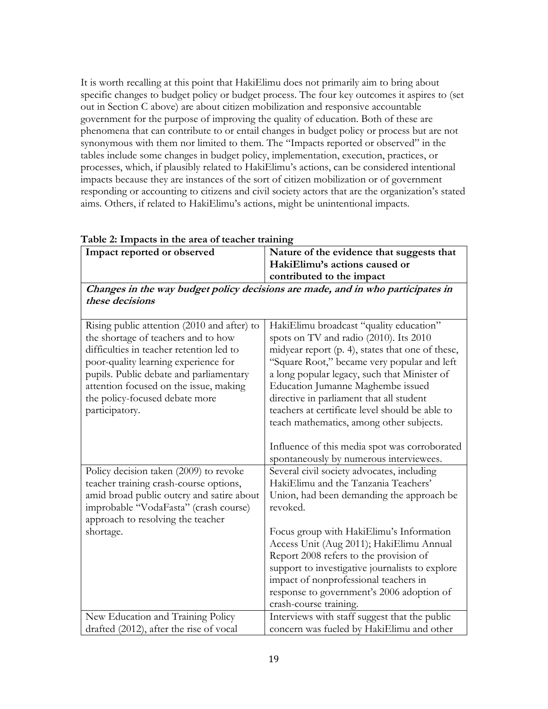It is worth recalling at this point that HakiElimu does not primarily aim to bring about specific changes to budget policy or budget process. The four key outcomes it aspires to (set out in Section C above) are about citizen mobilization and responsive accountable government for the purpose of improving the quality of education. Both of these are phenomena that can contribute to or entail changes in budget policy or process but are not synonymous with them nor limited to them. The "Impacts reported or observed" in the tables include some changes in budget policy, implementation, execution, practices, or processes, which, if plausibly related to HakiElimu's actions, can be considered intentional impacts because they are instances of the sort of citizen mobilization or of government responding or accounting to citizens and civil society actors that are the organization's stated aims. Others, if related to HakiElimu's actions, might be unintentional impacts.

| Impact reported or observed                 | Nature of the evidence that suggests that                                       |
|---------------------------------------------|---------------------------------------------------------------------------------|
|                                             | HakiElimu's actions caused or                                                   |
|                                             | contributed to the impact                                                       |
|                                             | Changes in the way budget policy decisions are made, and in who participates in |
| these decisions                             |                                                                                 |
|                                             |                                                                                 |
| Rising public attention (2010 and after) to | HakiElimu broadcast "quality education"                                         |
| the shortage of teachers and to how         | spots on TV and radio (2010). Its 2010                                          |
| difficulties in teacher retention led to    | midyear report (p. 4), states that one of these,                                |
| poor-quality learning experience for        | "Square Root," became very popular and left                                     |
| pupils. Public debate and parliamentary     | a long popular legacy, such that Minister of                                    |
| attention focused on the issue, making      | Education Jumanne Maghembe issued                                               |
| the policy-focused debate more              | directive in parliament that all student                                        |
| participatory.                              | teachers at certificate level should be able to                                 |
|                                             | teach mathematics, among other subjects.                                        |
|                                             |                                                                                 |
|                                             | Influence of this media spot was corroborated                                   |
|                                             | spontaneously by numerous interviewees.                                         |
| Policy decision taken (2009) to revoke      | Several civil society advocates, including                                      |
| teacher training crash-course options,      | HakiElimu and the Tanzania Teachers'                                            |
| amid broad public outcry and satire about   | Union, had been demanding the approach be                                       |
| improbable "VodaFasta" (crash course)       | revoked.                                                                        |
| approach to resolving the teacher           |                                                                                 |
| shortage.                                   | Focus group with HakiElimu's Information                                        |
|                                             | Access Unit (Aug 2011); HakiElimu Annual                                        |
|                                             | Report 2008 refers to the provision of                                          |
|                                             | support to investigative journalists to explore                                 |
|                                             | impact of nonprofessional teachers in                                           |
|                                             | response to government's 2006 adoption of                                       |
|                                             | crash-course training.                                                          |
| New Education and Training Policy           | Interviews with staff suggest that the public                                   |
| drafted (2012), after the rise of vocal     | concern was fueled by HakiElimu and other                                       |

# **Table 2: Impacts in the area of teacher training**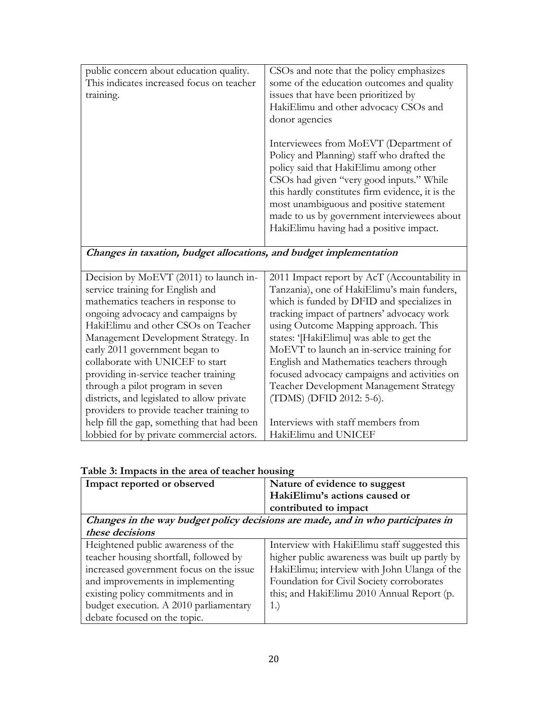| public concern about education quality.<br>This indicates increased focus on teacher<br>training. | CSOs and note that the policy emphasizes<br>some of the education outcomes and quality<br>issues that have been prioritized by<br>HakiElimu and other advocacy CSOs and<br>donor agencies                                                                                                                                                                           |
|---------------------------------------------------------------------------------------------------|---------------------------------------------------------------------------------------------------------------------------------------------------------------------------------------------------------------------------------------------------------------------------------------------------------------------------------------------------------------------|
|                                                                                                   | Interviewees from MoEVT (Department of<br>Policy and Planning) staff who drafted the<br>policy said that HakiElimu among other<br>CSOs had given "very good inputs." While<br>this hardly constitutes firm evidence, it is the<br>most unambiguous and positive statement<br>made to us by government interviewees about<br>HakiElimu having had a positive impact. |

# **Changes in taxation, budget allocations, and budget implementation**

| Decision by MoEVT (2011) to launch in-     | 2011 Impact report by AcT (Accountability in |
|--------------------------------------------|----------------------------------------------|
| service training for English and           | Tanzania), one of HakiElimu's main funders,  |
| mathematics teachers in response to        | which is funded by DFID and specializes in   |
| ongoing advocacy and campaigns by          | tracking impact of partners' advocacy work   |
| HakiElimu and other CSOs on Teacher        | using Outcome Mapping approach. This         |
| Management Development Strategy. In        | states: '[HakiElimu] was able to get the     |
| early 2011 government began to             | MoEVT to launch an in-service training for   |
| collaborate with UNICEF to start           | English and Mathematics teachers through     |
| providing in-service teacher training      | focused advocacy campaigns and activities on |
| through a pilot program in seven           | Teacher Development Management Strategy      |
| districts, and legislated to allow private | (TDMS) (DFID 2012: 5-6).                     |
| providers to provide teacher training to   |                                              |
| help fill the gap, something that had been | Interviews with staff members from           |
| lobbied for by private commercial actors.  | HakiElimu and UNICEF                         |

| Impact reported or observed             | Nature of evidence to suggest                                                   |
|-----------------------------------------|---------------------------------------------------------------------------------|
|                                         | HakiElimu's actions caused or                                                   |
|                                         | contributed to impact                                                           |
|                                         | Changes in the way budget policy decisions are made, and in who participates in |
| these decisions                         |                                                                                 |
| Heightened public awareness of the      | Interview with HakiElimu staff suggested this                                   |
| teacher housing shortfall, followed by  | higher public awareness was built up partly by                                  |
| increased government focus on the issue | HakiElimu; interview with John Ulanga of the                                    |
| and improvements in implementing        | Foundation for Civil Society corroborates                                       |
| existing policy commitments and in      | this; and HakiElimu 2010 Annual Report (p.                                      |
| budget execution. A 2010 parliamentary  | 1.)                                                                             |
| debate focused on the topic.            |                                                                                 |

# **Table 3: Impacts in the area of teacher housing**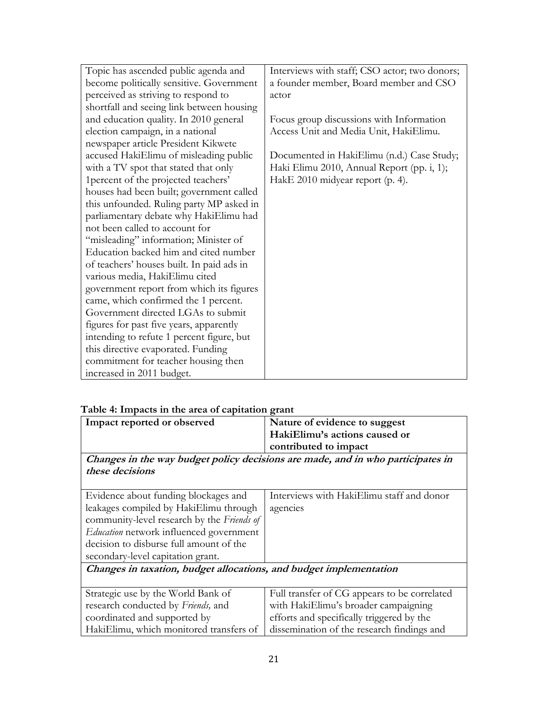| Topic has ascended public agenda and      | Interviews with staff; CSO actor; two donors; |
|-------------------------------------------|-----------------------------------------------|
| become politically sensitive. Government  | a founder member, Board member and CSO        |
| perceived as striving to respond to       | actor                                         |
| shortfall and seeing link between housing |                                               |
| and education quality. In 2010 general    | Focus group discussions with Information      |
| election campaign, in a national          | Access Unit and Media Unit, HakiElimu.        |
| newspaper article President Kikwete       |                                               |
| accused HakiElimu of misleading public    | Documented in HakiElimu (n.d.) Case Study;    |
| with a TV spot that stated that only      | Haki Elimu 2010, Annual Report (pp. i, 1);    |
| 1 percent of the projected teachers'      | HakE 2010 midyear report (p. 4).              |
| houses had been built; government called  |                                               |
| this unfounded. Ruling party MP asked in  |                                               |
| parliamentary debate why HakiElimu had    |                                               |
| not been called to account for            |                                               |
| "misleading" information; Minister of     |                                               |
| Education backed him and cited number     |                                               |
| of teachers' houses built. In paid ads in |                                               |
| various media, HakiElimu cited            |                                               |
| government report from which its figures  |                                               |
| came, which confirmed the 1 percent.      |                                               |
| Government directed LGAs to submit        |                                               |
| figures for past five years, apparently   |                                               |
| intending to refute 1 percent figure, but |                                               |
| this directive evaporated. Funding        |                                               |
| commitment for teacher housing then       |                                               |
| increased in 2011 budget.                 |                                               |

# **Table 4: Impacts in the area of capitation grant**

| Impact reported or observed                                        | Nature of evidence to suggest                                                   |  |
|--------------------------------------------------------------------|---------------------------------------------------------------------------------|--|
|                                                                    | HakiElimu's actions caused or                                                   |  |
|                                                                    | contributed to impact                                                           |  |
|                                                                    | Changes in the way budget policy decisions are made, and in who participates in |  |
| these decisions                                                    |                                                                                 |  |
|                                                                    |                                                                                 |  |
| Evidence about funding blockages and                               | Interviews with HakiElimu staff and donor                                       |  |
| leakages compiled by HakiElimu through                             | agencies                                                                        |  |
| community-level research by the Friends of                         |                                                                                 |  |
| <i>Education</i> network influenced government                     |                                                                                 |  |
| decision to disburse full amount of the                            |                                                                                 |  |
| secondary-level capitation grant.                                  |                                                                                 |  |
| Changes in taxation, budget allocations, and budget implementation |                                                                                 |  |
|                                                                    |                                                                                 |  |
| Strategic use by the World Bank of                                 | Full transfer of CG appears to be correlated                                    |  |
| research conducted by Friends, and                                 | with HakiElimu's broader campaigning                                            |  |
| coordinated and supported by                                       | efforts and specifically triggered by the                                       |  |
| HakiElimu, which monitored transfers of                            | dissemination of the research findings and                                      |  |
|                                                                    |                                                                                 |  |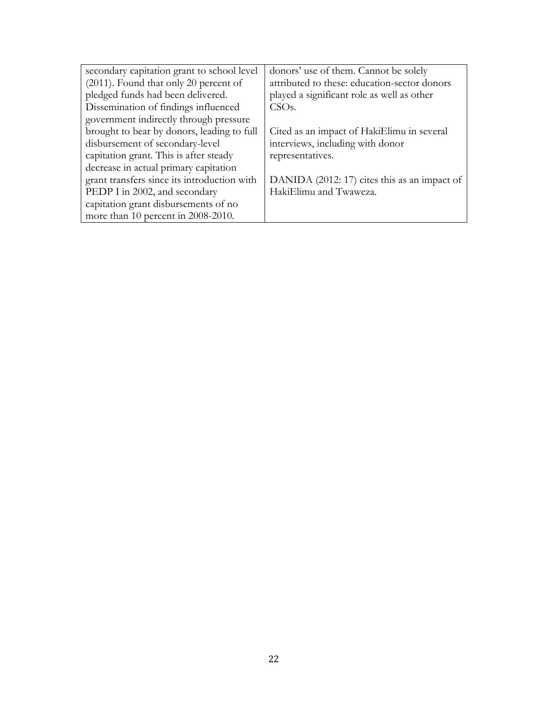| secondary capitation grant to school level  | donors' use of them. Cannot be solely        |
|---------------------------------------------|----------------------------------------------|
| (2011). Found that only 20 percent of       | attributed to these: education-sector donors |
| pledged funds had been delivered.           | played a significant role as well as other   |
| Dissemination of findings influenced        | CSO <sub>s</sub> .                           |
| government indirectly through pressure      |                                              |
| brought to bear by donors, leading to full  | Cited as an impact of HakiElimu in several   |
| disbursement of secondary-level             | interviews, including with donor             |
| capitation grant. This is after steady      | representatives.                             |
| decrease in actual primary capitation       |                                              |
| grant transfers since its introduction with | DANIDA (2012: 17) cites this as an impact of |
| PEDP I in 2002, and secondary               | HakiElimu and Twaweza.                       |
| capitation grant disbursements of no        |                                              |
| more than 10 percent in 2008-2010.          |                                              |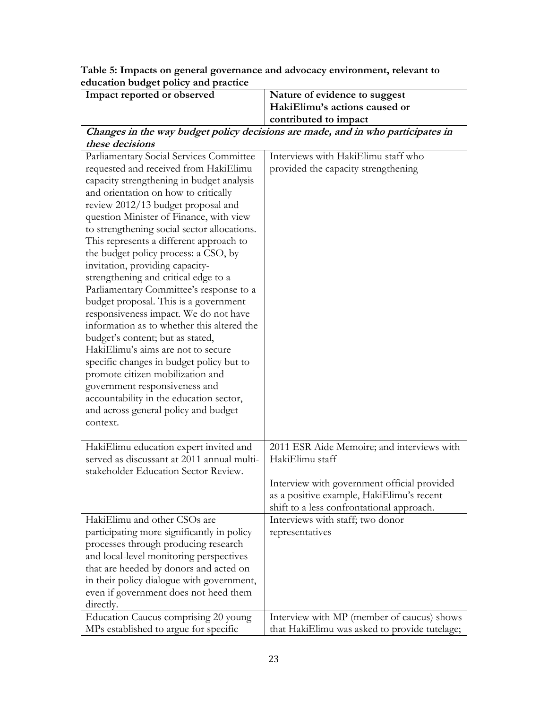| Impact reported or observed                                                          | Nature of evidence to suggest                                 |  |
|--------------------------------------------------------------------------------------|---------------------------------------------------------------|--|
|                                                                                      | HakiElimu's actions caused or                                 |  |
|                                                                                      | contributed to impact                                         |  |
| Changes in the way budget policy decisions are made, and in who participates in      |                                                               |  |
| these decisions                                                                      |                                                               |  |
| Parliamentary Social Services Committee                                              | Interviews with HakiElimu staff who                           |  |
| requested and received from HakiElimu                                                | provided the capacity strengthening                           |  |
| capacity strengthening in budget analysis                                            |                                                               |  |
| and orientation on how to critically                                                 |                                                               |  |
| review 2012/13 budget proposal and                                                   |                                                               |  |
| question Minister of Finance, with view                                              |                                                               |  |
| to strengthening social sector allocations.                                          |                                                               |  |
| This represents a different approach to<br>the budget policy process: a CSO, by      |                                                               |  |
| invitation, providing capacity-                                                      |                                                               |  |
| strengthening and critical edge to a                                                 |                                                               |  |
| Parliamentary Committee's response to a                                              |                                                               |  |
| budget proposal. This is a government                                                |                                                               |  |
| responsiveness impact. We do not have                                                |                                                               |  |
| information as to whether this altered the                                           |                                                               |  |
| budget's content; but as stated,                                                     |                                                               |  |
| HakiElimu's aims are not to secure                                                   |                                                               |  |
| specific changes in budget policy but to                                             |                                                               |  |
| promote citizen mobilization and                                                     |                                                               |  |
| government responsiveness and                                                        |                                                               |  |
| accountability in the education sector,                                              |                                                               |  |
| and across general policy and budget                                                 |                                                               |  |
| context.                                                                             |                                                               |  |
|                                                                                      |                                                               |  |
| HakiElimu education expert invited and<br>served as discussant at 2011 annual multi- | 2011 ESR Aide Memoire; and interviews with<br>HakiElimu staff |  |
| stakeholder Education Sector Review.                                                 |                                                               |  |
|                                                                                      | Interview with government official provided                   |  |
|                                                                                      | as a positive example, HakiElimu's recent                     |  |
|                                                                                      | shift to a less confrontational approach.                     |  |
| HakiElimu and other CSOs are                                                         | Interviews with staff; two donor                              |  |
| participating more significantly in policy                                           | representatives                                               |  |
| processes through producing research                                                 |                                                               |  |
| and local-level monitoring perspectives                                              |                                                               |  |
| that are heeded by donors and acted on                                               |                                                               |  |
| in their policy dialogue with government,                                            |                                                               |  |
| even if government does not heed them                                                |                                                               |  |
| directly.                                                                            |                                                               |  |
| Education Caucus comprising 20 young                                                 | Interview with MP (member of caucus) shows                    |  |
| MPs established to argue for specific                                                | that HakiElimu was asked to provide tutelage;                 |  |

**Table 5: Impacts on general governance and advocacy environment, relevant to education budget policy and practice**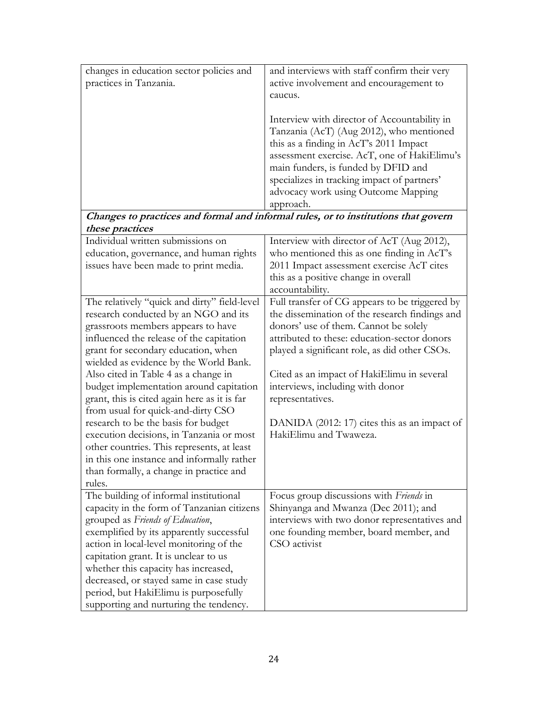| changes in education sector policies and<br>practices in Tanzania.               | and interviews with staff confirm their very<br>active involvement and encouragement to                                                                                                                                                                                                                                      |
|----------------------------------------------------------------------------------|------------------------------------------------------------------------------------------------------------------------------------------------------------------------------------------------------------------------------------------------------------------------------------------------------------------------------|
|                                                                                  | caucus.                                                                                                                                                                                                                                                                                                                      |
|                                                                                  | Interview with director of Accountability in<br>Tanzania (AcT) (Aug 2012), who mentioned<br>this as a finding in AcT's 2011 Impact<br>assessment exercise. AcT, one of HakiElimu's<br>main funders, is funded by DFID and<br>specializes in tracking impact of partners'<br>advocacy work using Outcome Mapping<br>approach. |
|                                                                                  | Changes to practices and formal and informal rules, or to institutions that govern                                                                                                                                                                                                                                           |
| these practices                                                                  |                                                                                                                                                                                                                                                                                                                              |
| Individual written submissions on                                                | Interview with director of AcT (Aug 2012),<br>who mentioned this as one finding in AcT's                                                                                                                                                                                                                                     |
| education, governance, and human rights<br>issues have been made to print media. | 2011 Impact assessment exercise AcT cites                                                                                                                                                                                                                                                                                    |
|                                                                                  | this as a positive change in overall                                                                                                                                                                                                                                                                                         |
|                                                                                  | accountability.                                                                                                                                                                                                                                                                                                              |
| The relatively "quick and dirty" field-level                                     | Full transfer of CG appears to be triggered by                                                                                                                                                                                                                                                                               |
| research conducted by an NGO and its                                             | the dissemination of the research findings and                                                                                                                                                                                                                                                                               |
| grassroots members appears to have                                               | donors' use of them. Cannot be solely                                                                                                                                                                                                                                                                                        |
| influenced the release of the capitation                                         | attributed to these: education-sector donors                                                                                                                                                                                                                                                                                 |
| grant for secondary education, when                                              | played a significant role, as did other CSOs.                                                                                                                                                                                                                                                                                |
| wielded as evidence by the World Bank.<br>Also cited in Table 4 as a change in   | Cited as an impact of HakiElimu in several                                                                                                                                                                                                                                                                                   |
| budget implementation around capitation                                          | interviews, including with donor                                                                                                                                                                                                                                                                                             |
| grant, this is cited again here as it is far                                     | representatives.                                                                                                                                                                                                                                                                                                             |
| from usual for quick-and-dirty CSO                                               |                                                                                                                                                                                                                                                                                                                              |
| research to be the basis for budget                                              | DANIDA (2012: 17) cites this as an impact of                                                                                                                                                                                                                                                                                 |
| execution decisions, in Tanzania or most                                         | HakiElimu and Twaweza.                                                                                                                                                                                                                                                                                                       |
| other countries. This represents, at least                                       |                                                                                                                                                                                                                                                                                                                              |
| in this one instance and informally rather                                       |                                                                                                                                                                                                                                                                                                                              |
| than formally, a change in practice and                                          |                                                                                                                                                                                                                                                                                                                              |
| rules.                                                                           |                                                                                                                                                                                                                                                                                                                              |
| The building of informal institutional                                           | Focus group discussions with Friends in                                                                                                                                                                                                                                                                                      |
| capacity in the form of Tanzanian citizens<br>grouped as Friends of Education,   | Shinyanga and Mwanza (Dec 2011); and<br>interviews with two donor representatives and                                                                                                                                                                                                                                        |
| exemplified by its apparently successful                                         | one founding member, board member, and                                                                                                                                                                                                                                                                                       |
| action in local-level monitoring of the                                          | CSO activist                                                                                                                                                                                                                                                                                                                 |
| capitation grant. It is unclear to us                                            |                                                                                                                                                                                                                                                                                                                              |
| whether this capacity has increased,                                             |                                                                                                                                                                                                                                                                                                                              |
| decreased, or stayed same in case study                                          |                                                                                                                                                                                                                                                                                                                              |
| period, but HakiElimu is purposefully                                            |                                                                                                                                                                                                                                                                                                                              |
| supporting and nurturing the tendency.                                           |                                                                                                                                                                                                                                                                                                                              |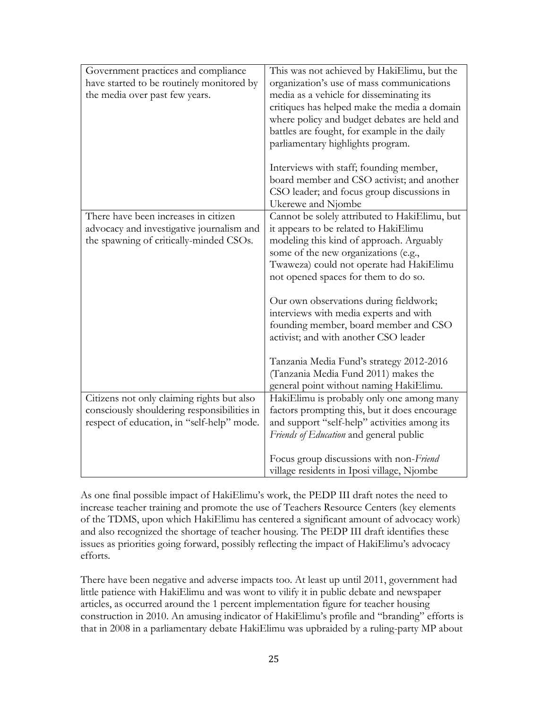| Government practices and compliance         | This was not achieved by HakiElimu, but the   |
|---------------------------------------------|-----------------------------------------------|
| have started to be routinely monitored by   | organization's use of mass communications     |
| the media over past few years.              | media as a vehicle for disseminating its      |
|                                             | critiques has helped make the media a domain  |
|                                             | where policy and budget debates are held and  |
|                                             | battles are fought, for example in the daily  |
|                                             | parliamentary highlights program.             |
|                                             |                                               |
|                                             | Interviews with staff; founding member,       |
|                                             | board member and CSO activist; and another    |
|                                             | CSO leader; and focus group discussions in    |
|                                             | Ukerewe and Njombe                            |
| There have been increases in citizen        | Cannot be solely attributed to HakiElimu, but |
| advocacy and investigative journalism and   | it appears to be related to HakiElimu         |
| the spawning of critically-minded CSOs.     | modeling this kind of approach. Arguably      |
|                                             | some of the new organizations (e.g.,          |
|                                             | Twaweza) could not operate had HakiElimu      |
|                                             | not opened spaces for them to do so.          |
|                                             |                                               |
|                                             | Our own observations during fieldwork;        |
|                                             | interviews with media experts and with        |
|                                             | founding member, board member and CSO         |
|                                             | activist; and with another CSO leader         |
|                                             |                                               |
|                                             | Tanzania Media Fund's strategy 2012-2016      |
|                                             | (Tanzania Media Fund 2011) makes the          |
|                                             | general point without naming HakiElimu.       |
| Citizens not only claiming rights but also  | HakiElimu is probably only one among many     |
| consciously shouldering responsibilities in | factors prompting this, but it does encourage |
| respect of education, in "self-help" mode.  | and support "self-help" activities among its  |
|                                             |                                               |
|                                             | Friends of Education and general public       |
|                                             | Focus group discussions with non-Friend       |
|                                             | village residents in Iposi village, Njombe    |
|                                             |                                               |

As one final possible impact of HakiElimu's work, the PEDP III draft notes the need to increase teacher training and promote the use of Teachers Resource Centers (key elements of the TDMS, upon which HakiElimu has centered a significant amount of advocacy work) and also recognized the shortage of teacher housing. The PEDP III draft identifies these issues as priorities going forward, possibly reflecting the impact of HakiElimu's advocacy efforts.

There have been negative and adverse impacts too. At least up until 2011, government had little patience with HakiElimu and was wont to vilify it in public debate and newspaper articles, as occurred around the 1 percent implementation figure for teacher housing construction in 2010. An amusing indicator of HakiElimu's profile and "branding" efforts is that in 2008 in a parliamentary debate HakiElimu was upbraided by a ruling-party MP about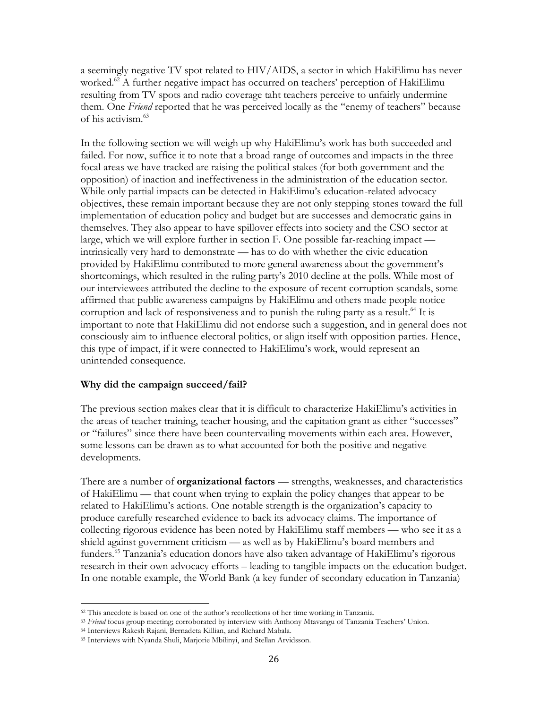a seemingly negative TV spot related to HIV/AIDS, a sector in which HakiElimu has never worked.<sup>62</sup> A further negative impact has occurred on teachers' perception of HakiElimu resulting from TV spots and radio coverage taht teachers perceive to unfairly undermine them. One *Friend* reported that he was perceived locally as the "enemy of teachers" because of his activism. 63

In the following section we will weigh up why HakiElimu's work has both succeeded and failed. For now, suffice it to note that a broad range of outcomes and impacts in the three focal areas we have tracked are raising the political stakes (for both government and the opposition) of inaction and ineffectiveness in the administration of the education sector. While only partial impacts can be detected in HakiElimu's education-related advocacy objectives, these remain important because they are not only stepping stones toward the full implementation of education policy and budget but are successes and democratic gains in themselves. They also appear to have spillover effects into society and the CSO sector at large, which we will explore further in section F. One possible far-reaching impact intrinsically very hard to demonstrate — has to do with whether the civic education provided by HakiElimu contributed to more general awareness about the government's shortcomings, which resulted in the ruling party's 2010 decline at the polls. While most of our interviewees attributed the decline to the exposure of recent corruption scandals, some affirmed that public awareness campaigns by HakiElimu and others made people notice corruption and lack of responsiveness and to punish the ruling party as a result.<sup>64</sup> It is important to note that HakiElimu did not endorse such a suggestion, and in general does not consciously aim to influence electoral politics, or align itself with opposition parties. Hence, this type of impact, if it were connected to HakiElimu's work, would represent an unintended consequence.

## **Why did the campaign succeed/fail?**

The previous section makes clear that it is difficult to characterize HakiElimu's activities in the areas of teacher training, teacher housing, and the capitation grant as either "successes" or "failures" since there have been countervailing movements within each area. However, some lessons can be drawn as to what accounted for both the positive and negative developments.

There are a number of **organizational factors** — strengths, weaknesses, and characteristics of HakiElimu — that count when trying to explain the policy changes that appear to be related to HakiElimu's actions. One notable strength is the organization's capacity to produce carefully researched evidence to back its advocacy claims. The importance of collecting rigorous evidence has been noted by HakiElimu staff members — who see it as a shield against government criticism — as well as by HakiElimu's board members and funders.<sup>65</sup> Tanzania's education donors have also taken advantage of HakiElimu's rigorous research in their own advocacy efforts – leading to tangible impacts on the education budget. In one notable example, the World Bank (a key funder of secondary education in Tanzania)

 $62$  This anecdote is based on one of the author's recollections of her time working in Tanzania.

<sup>63</sup> *Friend* focus group meeting; corroborated by interview with Anthony Mtavangu of Tanzania Teachers' Union.

<sup>64</sup> Interviews Rakesh Rajani, Bernadeta Killian, and Richard Mabala.

<sup>65</sup> Interviews with Nyanda Shuli, Marjorie Mbilinyi, and Stellan Arvidsson.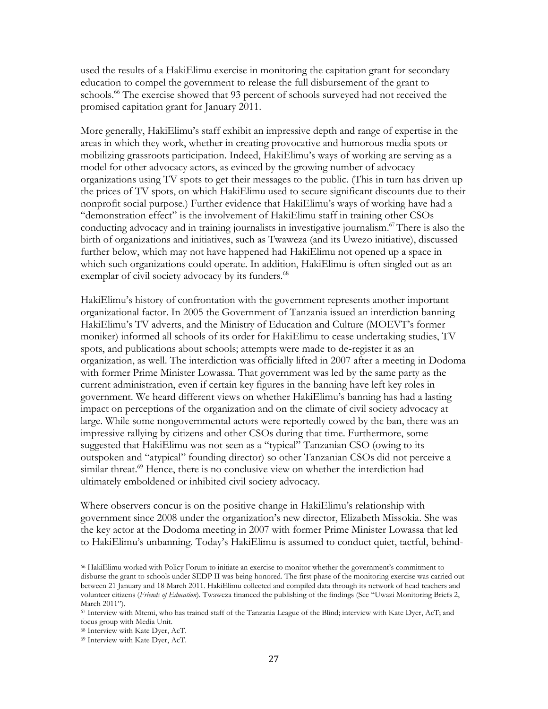used the results of a HakiElimu exercise in monitoring the capitation grant for secondary education to compel the government to release the full disbursement of the grant to schools.<sup>66</sup> The exercise showed that 93 percent of schools surveyed had not received the promised capitation grant for January 2011.

More generally, HakiElimu's staff exhibit an impressive depth and range of expertise in the areas in which they work, whether in creating provocative and humorous media spots or mobilizing grassroots participation. Indeed, HakiElimu's ways of working are serving as a model for other advocacy actors, as evinced by the growing number of advocacy organizations using TV spots to get their messages to the public. (This in turn has driven up the prices of TV spots, on which HakiElimu used to secure significant discounts due to their nonprofit social purpose.) Further evidence that HakiElimu's ways of working have had a "demonstration effect" is the involvement of HakiElimu staff in training other CSOs conducting advocacy and in training journalists in investigative journalism. <sup>67</sup>There is also the birth of organizations and initiatives, such as Twaweza (and its Uwezo initiative), discussed further below, which may not have happened had HakiElimu not opened up a space in which such organizations could operate. In addition, HakiElimu is often singled out as an exemplar of civil society advocacy by its funders.<sup>68</sup>

HakiElimu's history of confrontation with the government represents another important organizational factor. In 2005 the Government of Tanzania issued an interdiction banning HakiElimu's TV adverts, and the Ministry of Education and Culture (MOEVT's former moniker) informed all schools of its order for HakiElimu to cease undertaking studies, TV spots, and publications about schools; attempts were made to de-register it as an organization, as well. The interdiction was officially lifted in 2007 after a meeting in Dodoma with former Prime Minister Lowassa. That government was led by the same party as the current administration, even if certain key figures in the banning have left key roles in government. We heard different views on whether HakiElimu's banning has had a lasting impact on perceptions of the organization and on the climate of civil society advocacy at large. While some nongovernmental actors were reportedly cowed by the ban, there was an impressive rallying by citizens and other CSOs during that time. Furthermore, some suggested that HakiElimu was not seen as a "typical" Tanzanian CSO (owing to its outspoken and "atypical" founding director) so other Tanzanian CSOs did not perceive a similar threat.<sup>69</sup> Hence, there is no conclusive view on whether the interdiction had ultimately emboldened or inhibited civil society advocacy.

Where observers concur is on the positive change in HakiElimu's relationship with government since 2008 under the organization's new director, Elizabeth Missokia. She was the key actor at the Dodoma meeting in 2007 with former Prime Minister Lowassa that led to HakiElimu's unbanning. Today's HakiElimu is assumed to conduct quiet, tactful, behind-

<sup>66</sup> HakiElimu worked with Policy Forum to initiate an exercise to monitor whether the government's commitment to disburse the grant to schools under SEDP II was being honored. The first phase of the monitoring exercise was carried out between 21 January and 18 March 2011. HakiElimu collected and compiled data through its network of head teachers and volunteer citizens (*Friends of Education*). Twaweza financed the publishing of the findings (See "Uwazi Monitoring Briefs 2, March 2011").

<sup>67</sup> Interview with Mtemi, who has trained staff of the Tanzania League of the Blind; interview with Kate Dyer, AcT; and focus group with Media Unit.

<sup>68</sup> Interview with Kate Dyer, AcT.

<sup>69</sup> Interview with Kate Dyer, AcT.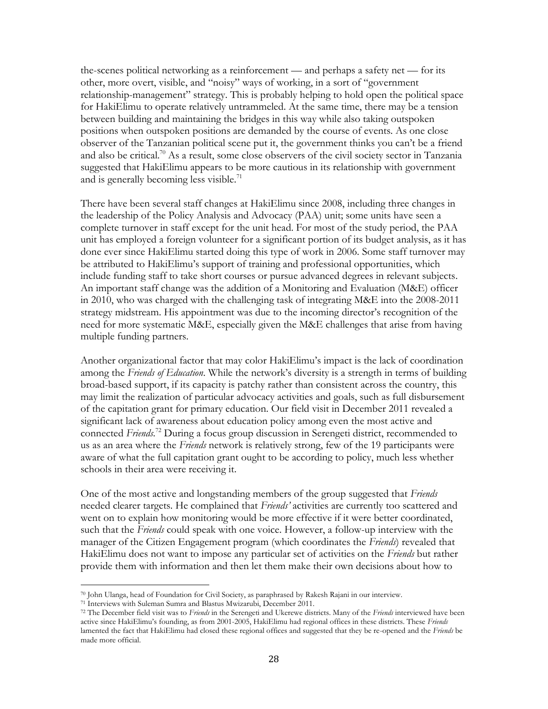the-scenes political networking as a reinforcement — and perhaps a safety net — for its other, more overt, visible, and "noisy" ways of working, in a sort of "government relationship-management" strategy. This is probably helping to hold open the political space for HakiElimu to operate relatively untrammeled. At the same time, there may be a tension between building and maintaining the bridges in this way while also taking outspoken positions when outspoken positions are demanded by the course of events. As one close observer of the Tanzanian political scene put it, the government thinks you can't be a friend and also be critical.<sup>70</sup> As a result, some close observers of the civil society sector in Tanzania suggested that HakiElimu appears to be more cautious in its relationship with government and is generally becoming less visible.<sup>71</sup>

There have been several staff changes at HakiElimu since 2008, including three changes in the leadership of the Policy Analysis and Advocacy (PAA) unit; some units have seen a complete turnover in staff except for the unit head. For most of the study period, the PAA unit has employed a foreign volunteer for a significant portion of its budget analysis, as it has done ever since HakiElimu started doing this type of work in 2006. Some staff turnover may be attributed to HakiElimu's support of training and professional opportunities, which include funding staff to take short courses or pursue advanced degrees in relevant subjects. An important staff change was the addition of a Monitoring and Evaluation (M&E) officer in 2010, who was charged with the challenging task of integrating M&E into the 2008-2011 strategy midstream. His appointment was due to the incoming director's recognition of the need for more systematic M&E, especially given the M&E challenges that arise from having multiple funding partners.

Another organizational factor that may color HakiElimu's impact is the lack of coordination among the *Friends of Education*. While the network's diversity is a strength in terms of building broad-based support, if its capacity is patchy rather than consistent across the country, this may limit the realization of particular advocacy activities and goals, such as full disbursement of the capitation grant for primary education. Our field visit in December 2011 revealed a significant lack of awareness about education policy among even the most active and connected *Friends.*<sup>72</sup> During a focus group discussion in Serengeti district, recommended to us as an area where the *Friends* network is relatively strong, few of the 19 participants were aware of what the full capitation grant ought to be according to policy, much less whether schools in their area were receiving it.

One of the most active and longstanding members of the group suggested that *Friends*  needed clearer targets. He complained that *Friends'* activities are currently too scattered and went on to explain how monitoring would be more effective if it were better coordinated, such that the *Friends* could speak with one voice. However, a follow-up interview with the manager of the Citizen Engagement program (which coordinates the *Friends*) revealed that HakiElimu does not want to impose any particular set of activities on the *Friends* but rather provide them with information and then let them make their own decisions about how to

<sup>70</sup> John Ulanga, head of Foundation for Civil Society, as paraphrased by Rakesh Rajani in our interview.

<sup>71</sup> Interviews with Suleman Sumra and Blastus Mwizarubi, December 2011.

<sup>72</sup> The December field visit was to *Friends* in the Serengeti and Ukerewe districts. Many of the *Friends* interviewed have been active since HakiElimu's founding, as from 2001-2005, HakiElimu had regional offices in these districts. These *Friends* lamented the fact that HakiElimu had closed these regional offices and suggested that they be re-opened and the *Friends* be made more official.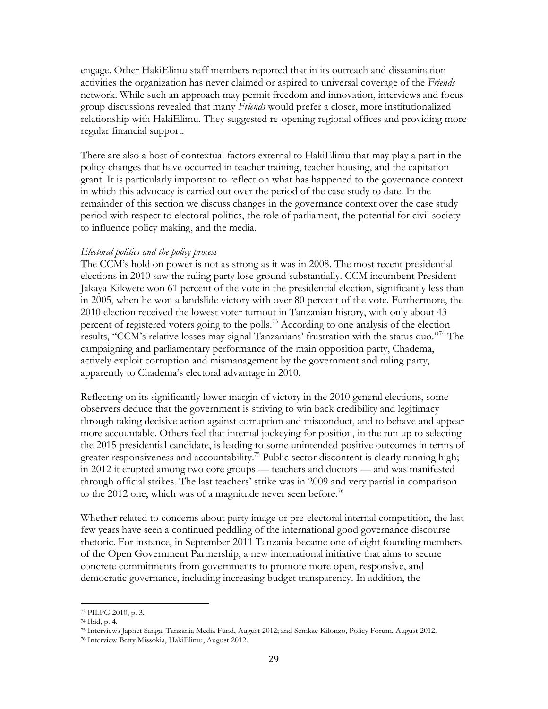engage. Other HakiElimu staff members reported that in its outreach and dissemination activities the organization has never claimed or aspired to universal coverage of the *Friends* network. While such an approach may permit freedom and innovation, interviews and focus group discussions revealed that many *Friends* would prefer a closer, more institutionalized relationship with HakiElimu. They suggested re-opening regional offices and providing more regular financial support.

There are also a host of contextual factors external to HakiElimu that may play a part in the policy changes that have occurred in teacher training, teacher housing, and the capitation grant. It is particularly important to reflect on what has happened to the governance context in which this advocacy is carried out over the period of the case study to date. In the remainder of this section we discuss changes in the governance context over the case study period with respect to electoral politics, the role of parliament, the potential for civil society to influence policy making, and the media.

#### *Electoral politics and the policy process*

The CCM's hold on power is not as strong as it was in 2008. The most recent presidential elections in 2010 saw the ruling party lose ground substantially. CCM incumbent President Jakaya Kikwete won 61 percent of the vote in the presidential election, significantly less than in 2005, when he won a landslide victory with over 80 percent of the vote. Furthermore, the 2010 election received the lowest voter turnout in Tanzanian history, with only about 43 percent of registered voters going to the polls.<sup>73</sup> According to one analysis of the election results, "CCM's relative losses may signal Tanzanians' frustration with the status quo."<sup>74</sup> The campaigning and parliamentary performance of the main opposition party, Chadema, actively exploit corruption and mismanagement by the government and ruling party, apparently to Chadema's electoral advantage in 2010.

Reflecting on its significantly lower margin of victory in the 2010 general elections, some observers deduce that the government is striving to win back credibility and legitimacy through taking decisive action against corruption and misconduct, and to behave and appear more accountable. Others feel that internal jockeying for position, in the run up to selecting the 2015 presidential candidate, is leading to some unintended positive outcomes in terms of greater responsiveness and accountability.<sup>75</sup> Public sector discontent is clearly running high; in 2012 it erupted among two core groups — teachers and doctors — and was manifested through official strikes. The last teachers' strike was in 2009 and very partial in comparison to the 2012 one, which was of a magnitude never seen before.<sup>76</sup>

Whether related to concerns about party image or pre-electoral internal competition, the last few years have seen a continued peddling of the international good governance discourse rhetoric. For instance, in September 2011 Tanzania became one of eight founding members of the Open Government Partnership, a new international initiative that aims to secure concrete commitments from governments to promote more open, responsive, and democratic governance, including increasing budget transparency. In addition, the

<sup>73</sup> PILPG 2010, p. 3.

<sup>74</sup> Ibid, p. 4.

<sup>75</sup> Interviews Japhet Sanga, Tanzania Media Fund, August 2012; and Semkae Kilonzo, Policy Forum, August 2012.

<sup>76</sup> Interview Betty Missokia, HakiElimu, August 2012.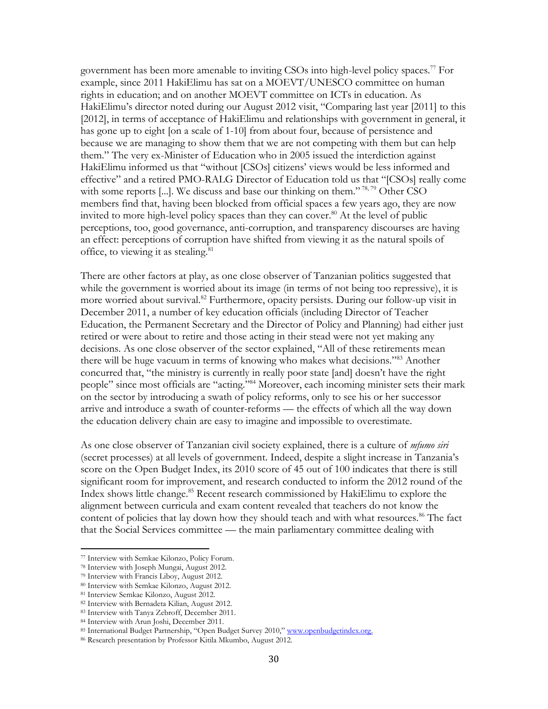government has been more amenable to inviting CSOs into high-level policy spaces.<sup>77</sup> For example, since 2011 HakiElimu has sat on a MOEVT/UNESCO committee on human rights in education; and on another MOEVT committee on ICTs in education. As HakiElimu's director noted during our August 2012 visit, "Comparing last year [2011] to this [2012], in terms of acceptance of HakiElimu and relationships with government in general, it has gone up to eight [on a scale of 1-10] from about four, because of persistence and because we are managing to show them that we are not competing with them but can help them." The very ex-Minister of Education who in 2005 issued the interdiction against HakiElimu informed us that "without [CSOs] citizens' views would be less informed and effective" and a retired PMO-RALG Director of Education told us that "[CSOs] really come with some reports [...]. We discuss and base our thinking on them."<sup>78,79</sup> Other CSO members find that, having been blocked from official spaces a few years ago, they are now invited to more high-level policy spaces than they can cover.<sup>80</sup> At the level of public perceptions, too, good governance, anti-corruption, and transparency discourses are having an effect: perceptions of corruption have shifted from viewing it as the natural spoils of office, to viewing it as stealing.<sup>81</sup>

There are other factors at play, as one close observer of Tanzanian politics suggested that while the government is worried about its image (in terms of not being too repressive), it is more worried about survival.<sup>82</sup> Furthermore, opacity persists. During our follow-up visit in December 2011, a number of key education officials (including Director of Teacher Education, the Permanent Secretary and the Director of Policy and Planning) had either just retired or were about to retire and those acting in their stead were not yet making any decisions. As one close observer of the sector explained, "All of these retirements mean there will be huge vacuum in terms of knowing who makes what decisions."<sup>83</sup> Another concurred that, "the ministry is currently in really poor state [and] doesn't have the right people" since most officials are "acting."<sup>84</sup> Moreover, each incoming minister sets their mark on the sector by introducing a swath of policy reforms, only to see his or her successor arrive and introduce a swath of counter-reforms — the effects of which all the way down the education delivery chain are easy to imagine and impossible to overestimate.

As one close observer of Tanzanian civil society explained, there is a culture of *mfumo siri* (secret processes) at all levels of government. Indeed, despite a slight increase in Tanzania's score on the Open Budget Index, its 2010 score of 45 out of 100 indicates that there is still significant room for improvement, and research conducted to inform the 2012 round of the Index shows little change.<sup>85</sup> Recent research commissioned by HakiElimu to explore the alignment between curricula and exam content revealed that teachers do not know the content of policies that lay down how they should teach and with what resources.<sup>86</sup> The fact that the Social Services committee — the main parliamentary committee dealing with

<sup>77</sup> Interview with Semkae Kilonzo, Policy Forum.

<sup>78</sup> Interview with Joseph Mungai, August 2012.

<sup>79</sup> Interview with Francis Liboy, August 2012.

<sup>80</sup> Interview with Semkae Kilonzo, August 2012.

<sup>81</sup> Interview Semkae Kilonzo, August 2012.

<sup>82</sup> Interview with Bernadeta Kilian, August 2012.

<sup>83</sup> Interview with Tanya Zebroff, December 2011.

<sup>84</sup> Interview with Arun Joshi, December 2011.

<sup>85</sup> International Budget Partnership, "Open Budget Survey 2010," [www.openbudgetindex.org.](http://www.openbudgetindex.org/)

<sup>86</sup> Research presentation by Professor Kitila Mkumbo, August 2012.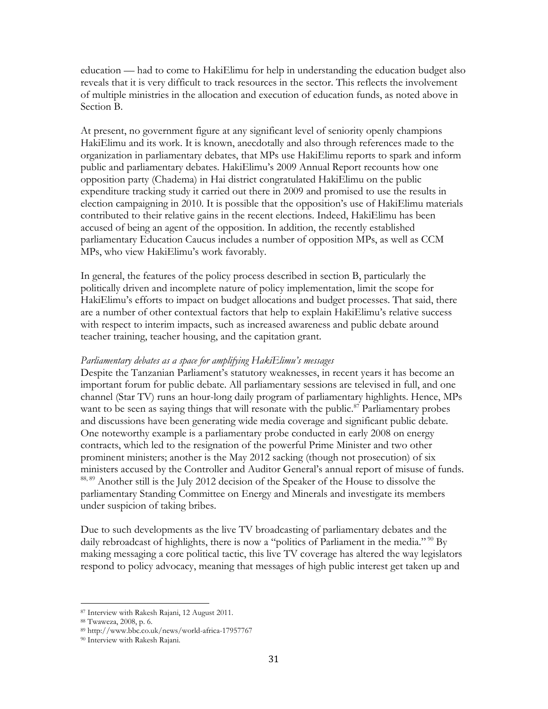education — had to come to HakiElimu for help in understanding the education budget also reveals that it is very difficult to track resources in the sector. This reflects the involvement of multiple ministries in the allocation and execution of education funds, as noted above in Section B.

At present, no government figure at any significant level of seniority openly champions HakiElimu and its work. It is known, anecdotally and also through references made to the organization in parliamentary debates, that MPs use HakiElimu reports to spark and inform public and parliamentary debates. HakiElimu's 2009 Annual Report recounts how one opposition party (Chadema) in Hai district congratulated HakiElimu on the public expenditure tracking study it carried out there in 2009 and promised to use the results in election campaigning in 2010. It is possible that the opposition's use of HakiElimu materials contributed to their relative gains in the recent elections. Indeed, HakiElimu has been accused of being an agent of the opposition. In addition, the recently established parliamentary Education Caucus includes a number of opposition MPs, as well as CCM MPs, who view HakiElimu's work favorably.

In general, the features of the policy process described in section B, particularly the politically driven and incomplete nature of policy implementation, limit the scope for HakiElimu's efforts to impact on budget allocations and budget processes. That said, there are a number of other contextual factors that help to explain HakiElimu's relative success with respect to interim impacts, such as increased awareness and public debate around teacher training, teacher housing, and the capitation grant.

#### *Parliamentary debates as a space for amplifying HakiElimu's messages*

Despite the Tanzanian Parliament's statutory weaknesses, in recent years it has become an important forum for public debate. All parliamentary sessions are televised in full, and one channel (Star TV) runs an hour-long daily program of parliamentary highlights. Hence, MPs want to be seen as saying things that will resonate with the public.<sup>87</sup> Parliamentary probes and discussions have been generating wide media coverage and significant public debate. One noteworthy example is a parliamentary probe conducted in early 2008 on energy contracts, which led to the resignation of the powerful Prime Minister and two other prominent ministers; another is the May 2012 sacking (though not prosecution) of six ministers accused by the Controller and Auditor General's annual report of misuse of funds. <sup>88, 89</sup> Another still is the July 2012 decision of the Speaker of the House to dissolve the parliamentary Standing Committee on Energy and Minerals and investigate its members under suspicion of taking bribes.

Due to such developments as the live TV broadcasting of parliamentary debates and the daily rebroadcast of highlights, there is now a "politics of Parliament in the media." <sup>90</sup> By making messaging a core political tactic, this live TV coverage has altered the way legislators respond to policy advocacy, meaning that messages of high public interest get taken up and

<sup>87</sup> Interview with Rakesh Rajani, 12 August 2011.

<sup>88</sup> Twaweza, 2008, p. 6.

<sup>89</sup> http://www.bbc.co.uk/news/world-africa-17957767

<sup>90</sup> Interview with Rakesh Rajani.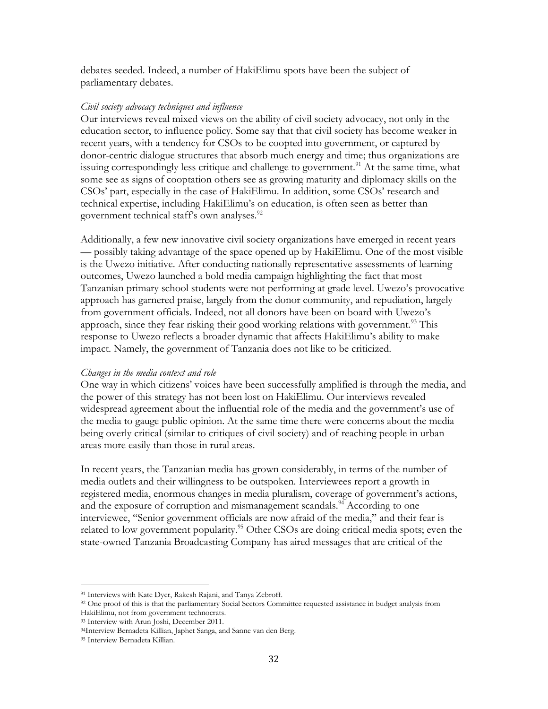debates seeded. Indeed, a number of HakiElimu spots have been the subject of parliamentary debates.

#### *Civil society advocacy techniques and influence*

Our interviews reveal mixed views on the ability of civil society advocacy, not only in the education sector, to influence policy. Some say that that civil society has become weaker in recent years, with a tendency for CSOs to be coopted into government, or captured by donor-centric dialogue structures that absorb much energy and time; thus organizations are issuing correspondingly less critique and challenge to government.<sup>91</sup> At the same time, what some see as signs of cooptation others see as growing maturity and diplomacy skills on the CSOs' part, especially in the case of HakiElimu. In addition, some CSOs' research and technical expertise, including HakiElimu's on education, is often seen as better than government technical staff's own analyses. $^{92}$ 

Additionally, a few new innovative civil society organizations have emerged in recent years — possibly taking advantage of the space opened up by HakiElimu. One of the most visible is the Uwezo initiative. After conducting nationally representative assessments of learning outcomes, Uwezo launched a bold media campaign highlighting the fact that most Tanzanian primary school students were not performing at grade level. Uwezo's provocative approach has garnered praise, largely from the donor community, and repudiation, largely from government officials. Indeed, not all donors have been on board with Uwezo's approach, since they fear risking their good working relations with government.<sup>93</sup> This response to Uwezo reflects a broader dynamic that affects HakiElimu's ability to make impact. Namely, the government of Tanzania does not like to be criticized.

#### *Changes in the media context and role*

One way in which citizens' voices have been successfully amplified is through the media, and the power of this strategy has not been lost on HakiElimu. Our interviews revealed widespread agreement about the influential role of the media and the government's use of the media to gauge public opinion. At the same time there were concerns about the media being overly critical (similar to critiques of civil society) and of reaching people in urban areas more easily than those in rural areas.

In recent years, the Tanzanian media has grown considerably, in terms of the number of media outlets and their willingness to be outspoken. Interviewees report a growth in registered media, enormous changes in media pluralism, coverage of government's actions, and the exposure of corruption and mismanagement scandals.<sup>94</sup> According to one interviewee, "Senior government officials are now afraid of the media," and their fear is related to low government popularity.<sup>95</sup> Other CSOs are doing critical media spots; even the state-owned Tanzania Broadcasting Company has aired messages that are critical of the

<sup>&</sup>lt;sup>91</sup> Interviews with Kate Dyer, Rakesh Rajani, and Tanya Zebroff.

<sup>&</sup>lt;sup>92</sup> One proof of this is that the parliamentary Social Sectors Committee requested assistance in budget analysis from HakiElimu, not from government technocrats.

<sup>93</sup> Interview with Arun Joshi, December 2011.

<sup>94</sup>Interview Bernadeta Killian, Japhet Sanga, and Sanne van den Berg.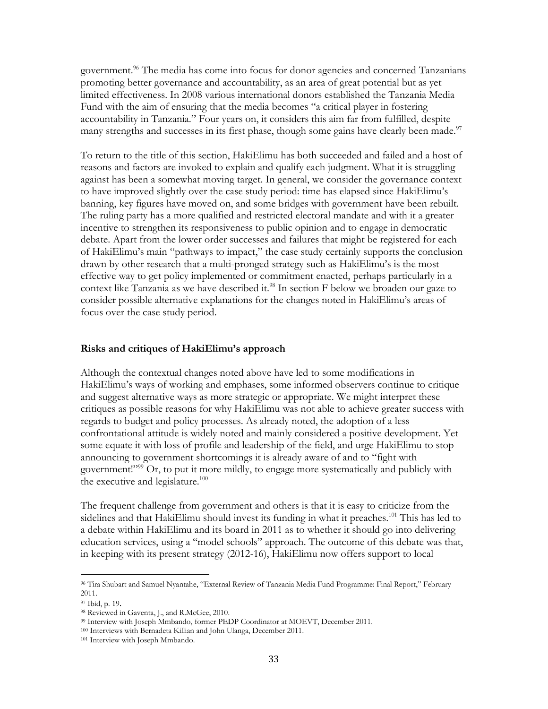government.<sup>96</sup> The media has come into focus for donor agencies and concerned Tanzanians promoting better governance and accountability, as an area of great potential but as yet limited effectiveness. In 2008 various international donors established the Tanzania Media Fund with the aim of ensuring that the media becomes "a critical player in fostering accountability in Tanzania." Four years on, it considers this aim far from fulfilled, despite many strengths and successes in its first phase, though some gains have clearly been made.<sup>97</sup>

To return to the title of this section, HakiElimu has both succeeded and failed and a host of reasons and factors are invoked to explain and qualify each judgment. What it is struggling against has been a somewhat moving target. In general, we consider the governance context to have improved slightly over the case study period: time has elapsed since HakiElimu's banning, key figures have moved on, and some bridges with government have been rebuilt. The ruling party has a more qualified and restricted electoral mandate and with it a greater incentive to strengthen its responsiveness to public opinion and to engage in democratic debate. Apart from the lower order successes and failures that might be registered for each of HakiElimu's main "pathways to impact," the case study certainly supports the conclusion drawn by other research that a multi-pronged strategy such as HakiElimu's is the most effective way to get policy implemented or commitment enacted, perhaps particularly in a context like Tanzania as we have described it.<sup>98</sup> In section F below we broaden our gaze to consider possible alternative explanations for the changes noted in HakiElimu's areas of focus over the case study period.

#### **Risks and critiques of HakiElimu's approach**

Although the contextual changes noted above have led to some modifications in HakiElimu's ways of working and emphases, some informed observers continue to critique and suggest alternative ways as more strategic or appropriate. We might interpret these critiques as possible reasons for why HakiElimu was not able to achieve greater success with regards to budget and policy processes. As already noted, the adoption of a less confrontational attitude is widely noted and mainly considered a positive development. Yet some equate it with loss of profile and leadership of the field, and urge HakiElimu to stop announcing to government shortcomings it is already aware of and to "fight with government!"<sup>99</sup> Or, to put it more mildly, to engage more systematically and publicly with the executive and legislature.<sup>100</sup>

The frequent challenge from government and others is that it is easy to criticize from the sidelines and that HakiElimu should invest its funding in what it preaches.<sup>101</sup> This has led to a debate within HakiElimu and its board in 2011 as to whether it should go into delivering education services, using a "model schools" approach. The outcome of this debate was that, in keeping with its present strategy (2012-16), HakiElimu now offers support to local

<sup>96</sup> Tira Shubart and Samuel Nyantahe, "External Review of Tanzania Media Fund Programme: Final Report," February 2011.

<sup>97</sup> Ibid, p. 19.

<sup>98</sup> Reviewed in Gaventa, J., and R.McGee, 2010.

<sup>99</sup> Interview with Joseph Mmbando, former PEDP Coordinator at MOEVT, December 2011.

<sup>100</sup> Interviews with Bernadeta Killian and John Ulanga, December 2011.

<sup>101</sup> Interview with Joseph Mmbando.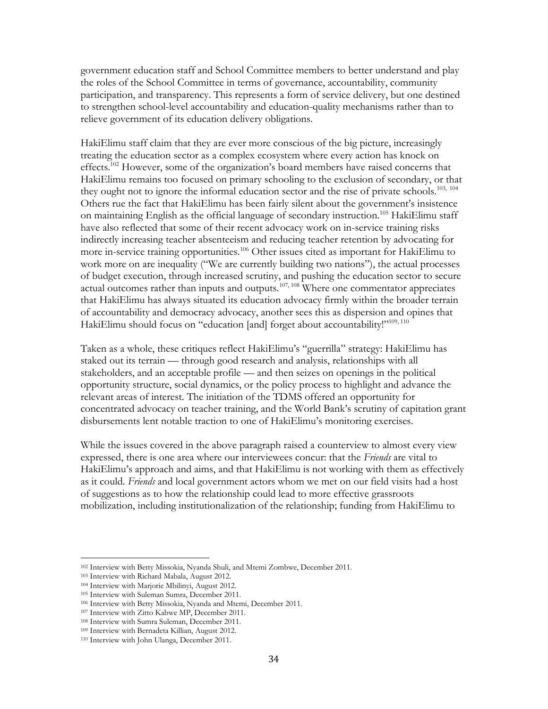government education staff and School Committee members to better understand and play the roles of the School Committee in terms of governance, accountability, community participation, and transparency. This represents a form of service delivery, but one destined to strengthen school-level accountability and education-quality mechanisms rather than to relieve government of its education delivery obligations.

HakiElimu staff claim that they are ever more conscious of the big picture, increasingly treating the education sector as a complex ecosystem where every action has knock on effects.<sup>102</sup> However, some of the organization's board members have raised concerns that HakiElimu remains too focused on primary schooling to the exclusion of secondary, or that they ought not to ignore the informal education sector and the rise of private schools.<sup>103, 104</sup> Others rue the fact that HakiElimu has been fairly silent about the government's insistence on maintaining English as the official language of secondary instruction.<sup>105</sup> HakiElimu staff have also reflected that some of their recent advocacy work on in-service training risks indirectly increasing teacher absenteeism and reducing teacher retention by advocating for more in-service training opportunities.<sup>106</sup> Other issues cited as important for HakiElimu to work more on are inequality ("We are currently building two nations"), the actual processes of budget execution, through increased scrutiny, and pushing the education sector to secure actual outcomes rather than inputs and outputs.107, 108 Where one commentator appreciates that HakiElimu has always situated its education advocacy firmly within the broader terrain of accountability and democracy advocacy, another sees this as dispersion and opines that HakiElimu should focus on "education [and] forget about accountability!"<sup>109, 110</sup>

Taken as a whole, these critiques reflect HakiElimu's "guerrilla" strategy: HakiElimu has staked out its terrain — through good research and analysis, relationships with all stakeholders, and an acceptable profile — and then seizes on openings in the political opportunity structure, social dynamics, or the policy process to highlight and advance the relevant areas of interest. The initiation of the TDMS offered an opportunity for concentrated advocacy on teacher training, and the World Bank's scrutiny of capitation grant disbursements lent notable traction to one of HakiElimu's monitoring exercises.

While the issues covered in the above paragraph raised a counterview to almost every view expressed, there is one area where our interviewees concur: that the *Friends* are vital to HakiElimu's approach and aims, and that HakiElimu is not working with them as effectively as it could. *Friends* and local government actors whom we met on our field visits had a host of suggestions as to how the relationship could lead to more effective grassroots mobilization, including institutionalization of the relationship; funding from HakiElimu to

<sup>102</sup> Interview with Betty Missokia, Nyanda Shuli, and Mtemi Zombwe, December 2011.

<sup>103</sup> Interview with Richard Mabala, August 2012.

<sup>104</sup> Interview with Marjorie Mbilinyi, August 2012.

<sup>105</sup> Interview with Suleman Sumra, December 2011.

<sup>106</sup> Interview with Betty Missokia, Nyanda and Mtemi, December 2011.

<sup>107</sup> Interview with Zitto Kabwe MP, December 2011.

<sup>108</sup> Interview with Sumra Suleman, December 2011.

<sup>109</sup> Interview with Bernadeta Killian, August 2012.

<sup>110</sup> Interview with John Ulanga, December 2011.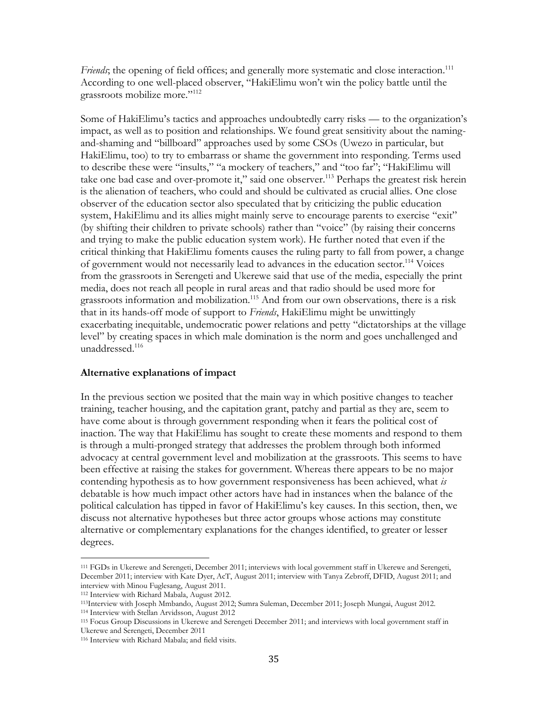*Friends*; the opening of field offices; and generally more systematic and close interaction.<sup>111</sup> According to one well-placed observer, "HakiElimu won't win the policy battle until the grassroots mobilize more."<sup>112</sup>

Some of HakiElimu's tactics and approaches undoubtedly carry risks — to the organization's impact, as well as to position and relationships. We found great sensitivity about the namingand-shaming and "billboard" approaches used by some CSOs (Uwezo in particular, but HakiElimu, too) to try to embarrass or shame the government into responding. Terms used to describe these were "insults," "a mockery of teachers," and "too far"; "HakiElimu will take one bad case and over-promote it," said one observer.<sup>113</sup> Perhaps the greatest risk herein is the alienation of teachers, who could and should be cultivated as crucial allies. One close observer of the education sector also speculated that by criticizing the public education system, HakiElimu and its allies might mainly serve to encourage parents to exercise "exit" (by shifting their children to private schools) rather than "voice" (by raising their concerns and trying to make the public education system work). He further noted that even if the critical thinking that HakiElimu foments causes the ruling party to fall from power, a change of government would not necessarily lead to advances in the education sector.<sup>114</sup> Voices from the grassroots in Serengeti and Ukerewe said that use of the media, especially the print media, does not reach all people in rural areas and that radio should be used more for grassroots information and mobilization.<sup>115</sup> And from our own observations, there is a risk that in its hands-off mode of support to *Friends*, HakiElimu might be unwittingly exacerbating inequitable, undemocratic power relations and petty "dictatorships at the village level" by creating spaces in which male domination is the norm and goes unchallenged and unaddressed.<sup>116</sup>

## **Alternative explanations of impact**

In the previous section we posited that the main way in which positive changes to teacher training, teacher housing, and the capitation grant, patchy and partial as they are, seem to have come about is through government responding when it fears the political cost of inaction. The way that HakiElimu has sought to create these moments and respond to them is through a multi-pronged strategy that addresses the problem through both informed advocacy at central government level and mobilization at the grassroots. This seems to have been effective at raising the stakes for government. Whereas there appears to be no major contending hypothesis as to how government responsiveness has been achieved, what *is* debatable is how much impact other actors have had in instances when the balance of the political calculation has tipped in favor of HakiElimu's key causes. In this section, then, we discuss not alternative hypotheses but three actor groups whose actions may constitute alternative or complementary explanations for the changes identified, to greater or lesser degrees.

<sup>111</sup> FGDs in Ukerewe and Serengeti, December 2011; interviews with local government staff in Ukerewe and Serengeti, December 2011; interview with Kate Dyer, AcT, August 2011; interview with Tanya Zebroff, DFID, August 2011; and interview with Minou Fuglesang, August 2011.

<sup>112</sup> Interview with Richard Mabala, August 2012.

<sup>113</sup>Interview with Joseph Mmbando, August 2012; Sumra Suleman, December 2011; Joseph Mungai, August 2012.

<sup>114</sup> Interview with Stellan Arvidsson, August 2012

<sup>115</sup> Focus Group Discussions in Ukerewe and Serengeti December 2011; and interviews with local government staff in Ukerewe and Serengeti, December 2011

<sup>116</sup> Interview with Richard Mabala; and field visits.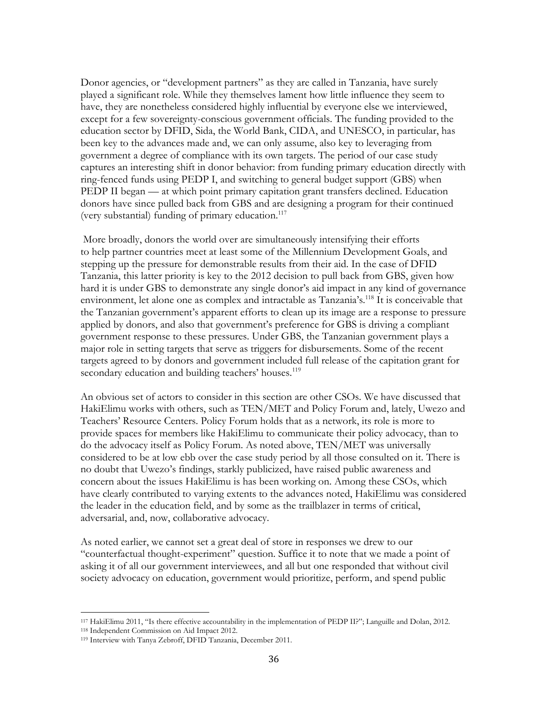Donor agencies, or "development partners" as they are called in Tanzania, have surely played a significant role. While they themselves lament how little influence they seem to have, they are nonetheless considered highly influential by everyone else we interviewed, except for a few sovereignty-conscious government officials. The funding provided to the education sector by DFID, Sida, the World Bank, CIDA, and UNESCO, in particular, has been key to the advances made and, we can only assume, also key to leveraging from government a degree of compliance with its own targets. The period of our case study captures an interesting shift in donor behavior: from funding primary education directly with ring-fenced funds using PEDP I, and switching to general budget support (GBS) when PEDP II began — at which point primary capitation grant transfers declined. Education donors have since pulled back from GBS and are designing a program for their continued (very substantial) funding of primary education. $117$ 

More broadly, donors the world over are simultaneously intensifying their efforts to help partner countries meet at least some of the Millennium Development Goals, and stepping up the pressure for demonstrable results from their aid. In the case of DFID Tanzania, this latter priority is key to the 2012 decision to pull back from GBS, given how hard it is under GBS to demonstrate any single donor's aid impact in any kind of governance environment, let alone one as complex and intractable as Tanzania's.<sup>118</sup> It is conceivable that the Tanzanian government's apparent efforts to clean up its image are a response to pressure applied by donors, and also that government's preference for GBS is driving a compliant government response to these pressures. Under GBS, the Tanzanian government plays a major role in setting targets that serve as triggers for disbursements. Some of the recent targets agreed to by donors and government included full release of the capitation grant for secondary education and building teachers' houses.<sup>119</sup>

An obvious set of actors to consider in this section are other CSOs. We have discussed that HakiElimu works with others, such as TEN/MET and Policy Forum and, lately, Uwezo and Teachers' Resource Centers. Policy Forum holds that as a network, its role is more to provide spaces for members like HakiElimu to communicate their policy advocacy, than to do the advocacy itself as Policy Forum. As noted above, TEN/MET was universally considered to be at low ebb over the case study period by all those consulted on it. There is no doubt that Uwezo's findings, starkly publicized, have raised public awareness and concern about the issues HakiElimu is has been working on. Among these CSOs, which have clearly contributed to varying extents to the advances noted, HakiElimu was considered the leader in the education field, and by some as the trailblazer in terms of critical, adversarial, and, now, collaborative advocacy.

As noted earlier, we cannot set a great deal of store in responses we drew to our "counterfactual thought-experiment" question. Suffice it to note that we made a point of asking it of all our government interviewees, and all but one responded that without civil society advocacy on education, government would prioritize, perform, and spend public

<sup>117</sup> HakiElimu 2011, "Is there effective accountability in the implementation of PEDP II?"; Languille and Dolan, 2012.

<sup>118</sup> Independent Commission on Aid Impact 2012.

<sup>119</sup> Interview with Tanya Zebroff, DFID Tanzania, December 2011.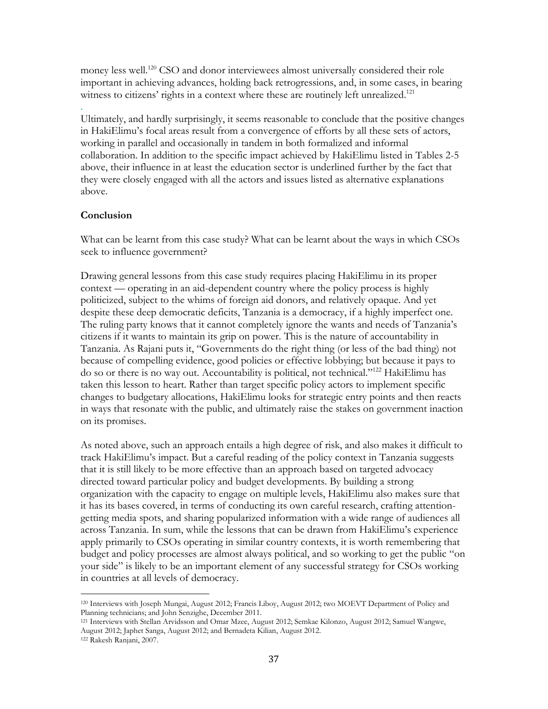money less well.<sup>120</sup> CSO and donor interviewees almost universally considered their role important in achieving advances, holding back retrogressions, and, in some cases, in bearing witness to citizens' rights in a context where these are routinely left unrealized.<sup>121</sup>

Ultimately, and hardly surprisingly, it seems reasonable to conclude that the positive changes in HakiElimu's focal areas result from a convergence of efforts by all these sets of actors, working in parallel and occasionally in tandem in both formalized and informal collaboration. In addition to the specific impact achieved by HakiElimu listed in Tables 2-5 above, their influence in at least the education sector is underlined further by the fact that they were closely engaged with all the actors and issues listed as alternative explanations above.

#### **Conclusion**

.

What can be learnt from this case study? What can be learnt about the ways in which CSOs seek to influence government?

Drawing general lessons from this case study requires placing HakiElimu in its proper context — operating in an aid-dependent country where the policy process is highly politicized, subject to the whims of foreign aid donors, and relatively opaque. And yet despite these deep democratic deficits, Tanzania is a democracy, if a highly imperfect one. The ruling party knows that it cannot completely ignore the wants and needs of Tanzania's citizens if it wants to maintain its grip on power. This is the nature of accountability in Tanzania. As Rajani puts it, "Governments do the right thing (or less of the bad thing) not because of compelling evidence, good policies or effective lobbying; but because it pays to do so or there is no way out. Accountability is political, not technical."<sup>122</sup> HakiElimu has taken this lesson to heart. Rather than target specific policy actors to implement specific changes to budgetary allocations, HakiElimu looks for strategic entry points and then reacts in ways that resonate with the public, and ultimately raise the stakes on government inaction on its promises.

As noted above, such an approach entails a high degree of risk, and also makes it difficult to track HakiElimu's impact. But a careful reading of the policy context in Tanzania suggests that it is still likely to be more effective than an approach based on targeted advocacy directed toward particular policy and budget developments. By building a strong organization with the capacity to engage on multiple levels, HakiElimu also makes sure that it has its bases covered, in terms of conducting its own careful research, crafting attentiongetting media spots, and sharing popularized information with a wide range of audiences all across Tanzania. In sum, while the lessons that can be drawn from HakiElimu's experience apply primarily to CSOs operating in similar country contexts, it is worth remembering that budget and policy processes are almost always political, and so working to get the public "on your side" is likely to be an important element of any successful strategy for CSOs working in countries at all levels of democracy.

<sup>120</sup> Interviews with Joseph Mungai, August 2012; Francis Liboy, August 2012; two MOEVT Department of Policy and Planning technicians; and John Senzighe, December 2011.

<sup>121</sup> Interviews with Stellan Arvidsson and Omar Mzee, August 2012; Semkae Kilonzo, August 2012; Samuel Wangwe, August 2012; Japhet Sanga, August 2012; and Bernadeta Kilian, August 2012.

<sup>122</sup> Rakesh Ranjani, 2007.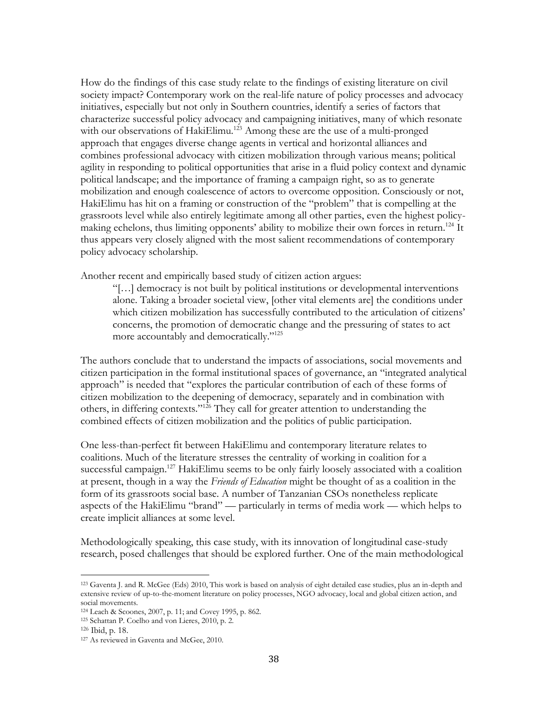How do the findings of this case study relate to the findings of existing literature on civil society impact? Contemporary work on the real-life nature of policy processes and advocacy initiatives, especially but not only in Southern countries, identify a series of factors that characterize successful policy advocacy and campaigning initiatives, many of which resonate with our observations of HakiElimu.<sup>123</sup> Among these are the use of a multi-pronged approach that engages diverse change agents in vertical and horizontal alliances and combines professional advocacy with citizen mobilization through various means; political agility in responding to political opportunities that arise in a fluid policy context and dynamic political landscape; and the importance of framing a campaign right, so as to generate mobilization and enough coalescence of actors to overcome opposition. Consciously or not, HakiElimu has hit on a framing or construction of the "problem" that is compelling at the grassroots level while also entirely legitimate among all other parties, even the highest policymaking echelons, thus limiting opponents' ability to mobilize their own forces in return.<sup>124</sup> It thus appears very closely aligned with the most salient recommendations of contemporary policy advocacy scholarship.

Another recent and empirically based study of citizen action argues:

"[…] democracy is not built by political institutions or developmental interventions alone. Taking a broader societal view, [other vital elements are] the conditions under which citizen mobilization has successfully contributed to the articulation of citizens' concerns, the promotion of democratic change and the pressuring of states to act more accountably and democratically."<sup>125</sup>

The authors conclude that to understand the impacts of associations, social movements and citizen participation in the formal institutional spaces of governance, an "integrated analytical approach" is needed that "explores the particular contribution of each of these forms of citizen mobilization to the deepening of democracy, separately and in combination with others, in differing contexts." <sup>126</sup> They call for greater attention to understanding the combined effects of citizen mobilization and the politics of public participation.

One less-than-perfect fit between HakiElimu and contemporary literature relates to coalitions. Much of the literature stresses the centrality of working in coalition for a successful campaign.<sup>127</sup> HakiElimu seems to be only fairly loosely associated with a coalition at present, though in a way the *Friends of Education* might be thought of as a coalition in the form of its grassroots social base. A number of Tanzanian CSOs nonetheless replicate aspects of the HakiElimu "brand" — particularly in terms of media work — which helps to create implicit alliances at some level.

Methodologically speaking, this case study, with its innovation of longitudinal case-study research, posed challenges that should be explored further. One of the main methodological

<sup>123</sup> Gaventa J. and R. McGee (Eds) 2010, This work is based on analysis of eight detailed case studies, plus an in-depth and extensive review of up-to-the-moment literature on policy processes, NGO advocacy, local and global citizen action, and social movements.

<sup>124</sup> Leach & Scoones, 2007, p. 11; and Covey 1995, p. 862.

<sup>125</sup> Schattan P. Coelho and von Lieres, 2010, p. 2.

<sup>126</sup> Ibid, p. 18.

<sup>127</sup> As reviewed in Gaventa and McGee, 2010.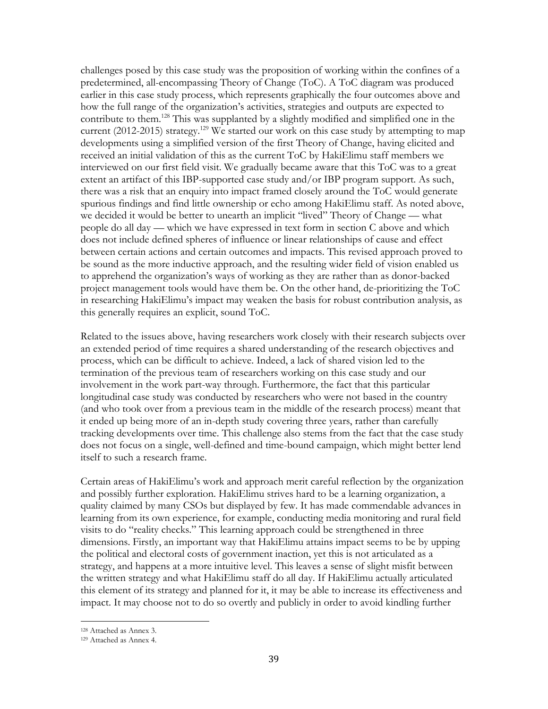challenges posed by this case study was the proposition of working within the confines of a predetermined, all-encompassing Theory of Change (ToC). A ToC diagram was produced earlier in this case study process, which represents graphically the four outcomes above and how the full range of the organization's activities, strategies and outputs are expected to contribute to them.<sup>128</sup> This was supplanted by a slightly modified and simplified one in the current (2012-2015) strategy.<sup>129</sup> We started our work on this case study by attempting to map developments using a simplified version of the first Theory of Change, having elicited and received an initial validation of this as the current ToC by HakiElimu staff members we interviewed on our first field visit. We gradually became aware that this ToC was to a great extent an artifact of this IBP-supported case study and/or IBP program support. As such, there was a risk that an enquiry into impact framed closely around the ToC would generate spurious findings and find little ownership or echo among HakiElimu staff. As noted above, we decided it would be better to unearth an implicit "lived" Theory of Change — what people do all day — which we have expressed in text form in section C above and which does not include defined spheres of influence or linear relationships of cause and effect between certain actions and certain outcomes and impacts. This revised approach proved to be sound as the more inductive approach, and the resulting wider field of vision enabled us to apprehend the organization's ways of working as they are rather than as donor-backed project management tools would have them be. On the other hand, de-prioritizing the ToC in researching HakiElimu's impact may weaken the basis for robust contribution analysis, as this generally requires an explicit, sound ToC.

Related to the issues above, having researchers work closely with their research subjects over an extended period of time requires a shared understanding of the research objectives and process, which can be difficult to achieve. Indeed, a lack of shared vision led to the termination of the previous team of researchers working on this case study and our involvement in the work part-way through. Furthermore, the fact that this particular longitudinal case study was conducted by researchers who were not based in the country (and who took over from a previous team in the middle of the research process) meant that it ended up being more of an in-depth study covering three years, rather than carefully tracking developments over time. This challenge also stems from the fact that the case study does not focus on a single, well-defined and time-bound campaign, which might better lend itself to such a research frame.

Certain areas of HakiElimu's work and approach merit careful reflection by the organization and possibly further exploration. HakiElimu strives hard to be a learning organization, a quality claimed by many CSOs but displayed by few. It has made commendable advances in learning from its own experience, for example, conducting media monitoring and rural field visits to do "reality checks." This learning approach could be strengthened in three dimensions. Firstly, an important way that HakiElimu attains impact seems to be by upping the political and electoral costs of government inaction, yet this is not articulated as a strategy, and happens at a more intuitive level. This leaves a sense of slight misfit between the written strategy and what HakiElimu staff do all day. If HakiElimu actually articulated this element of its strategy and planned for it, it may be able to increase its effectiveness and impact. It may choose not to do so overtly and publicly in order to avoid kindling further

<sup>128</sup> Attached as Annex 3.

<sup>129</sup> Attached as Annex 4.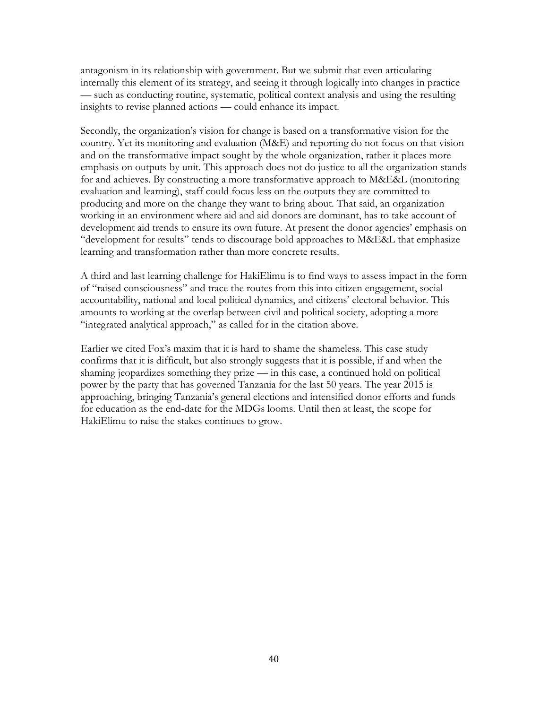antagonism in its relationship with government. But we submit that even articulating internally this element of its strategy, and seeing it through logically into changes in practice — such as conducting routine, systematic, political context analysis and using the resulting insights to revise planned actions — could enhance its impact.

Secondly, the organization's vision for change is based on a transformative vision for the country. Yet its monitoring and evaluation (M&E) and reporting do not focus on that vision and on the transformative impact sought by the whole organization, rather it places more emphasis on outputs by unit. This approach does not do justice to all the organization stands for and achieves. By constructing a more transformative approach to M&E&L (monitoring evaluation and learning), staff could focus less on the outputs they are committed to producing and more on the change they want to bring about. That said, an organization working in an environment where aid and aid donors are dominant, has to take account of development aid trends to ensure its own future. At present the donor agencies' emphasis on "development for results" tends to discourage bold approaches to M&E&L that emphasize learning and transformation rather than more concrete results.

A third and last learning challenge for HakiElimu is to find ways to assess impact in the form of "raised consciousness" and trace the routes from this into citizen engagement, social accountability, national and local political dynamics, and citizens' electoral behavior. This amounts to working at the overlap between civil and political society, adopting a more "integrated analytical approach," as called for in the citation above.

Earlier we cited Fox's maxim that it is hard to shame the shameless. This case study confirms that it is difficult, but also strongly suggests that it is possible, if and when the shaming jeopardizes something they prize — in this case, a continued hold on political power by the party that has governed Tanzania for the last 50 years. The year 2015 is approaching, bringing Tanzania's general elections and intensified donor efforts and funds for education as the end-date for the MDGs looms. Until then at least, the scope for HakiElimu to raise the stakes continues to grow.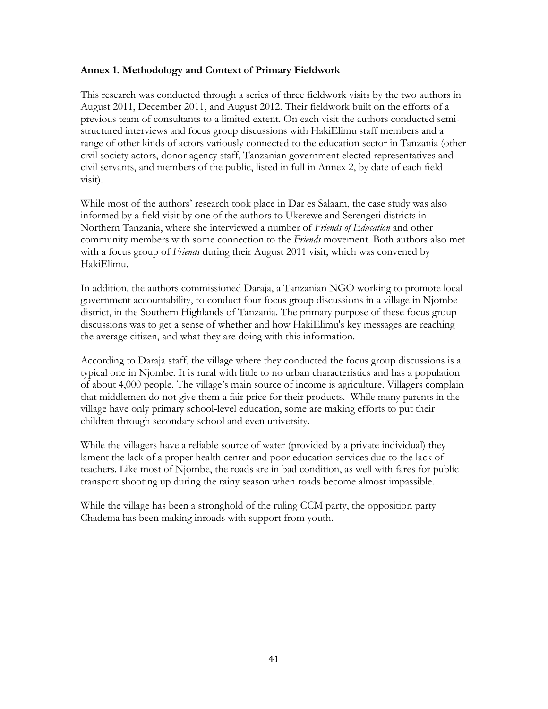# **Annex 1. Methodology and Context of Primary Fieldwork**

This research was conducted through a series of three fieldwork visits by the two authors in August 2011, December 2011, and August 2012. Their fieldwork built on the efforts of a previous team of consultants to a limited extent. On each visit the authors conducted semistructured interviews and focus group discussions with HakiElimu staff members and a range of other kinds of actors variously connected to the education sector in Tanzania (other civil society actors, donor agency staff, Tanzanian government elected representatives and civil servants, and members of the public, listed in full in Annex 2, by date of each field visit).

While most of the authors' research took place in Dar es Salaam, the case study was also informed by a field visit by one of the authors to Ukerewe and Serengeti districts in Northern Tanzania, where she interviewed a number of *Friends of Education* and other community members with some connection to the *Friends* movement. Both authors also met with a focus group of *Friends* during their August 2011 visit, which was convened by HakiElimu.

In addition, the authors commissioned Daraja, a Tanzanian NGO working to promote local government accountability, to conduct four focus group discussions in a village in Njombe district, in the Southern Highlands of Tanzania. The primary purpose of these focus group discussions was to get a sense of whether and how HakiElimu's key messages are reaching the average citizen, and what they are doing with this information.

According to Daraja staff, the village where they conducted the focus group discussions is a typical one in Njombe. It is rural with little to no urban characteristics and has a population of about 4,000 people. The village's main source of income is agriculture. Villagers complain that middlemen do not give them a fair price for their products. While many parents in the village have only primary school-level education, some are making efforts to put their children through secondary school and even university.

While the villagers have a reliable source of water (provided by a private individual) they lament the lack of a proper health center and poor education services due to the lack of teachers. Like most of Njombe, the roads are in bad condition, as well with fares for public transport shooting up during the rainy season when roads become almost impassible.

While the village has been a stronghold of the ruling CCM party, the opposition party Chadema has been making inroads with support from youth.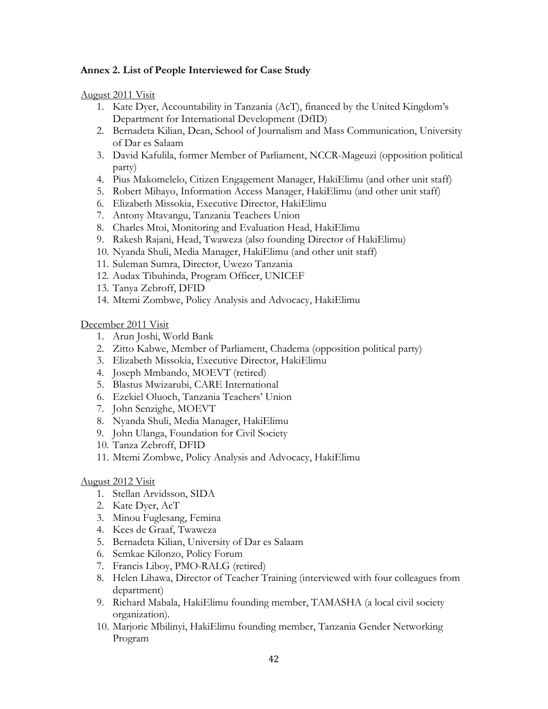# **Annex 2. List of People Interviewed for Case Study**

August 2011 Visit

- 1. Kate Dyer, Accountability in Tanzania (AcT), financed by the United Kingdom's Department for International Development (DfID)
- 2. Bernadeta Kilian, Dean, School of Journalism and Mass Communication, University of Dar es Salaam
- 3. David Kafulila, former Member of Parliament, NCCR-Mageuzi (opposition political party)
- 4. Pius Makomelelo, Citizen Engagement Manager, HakiElimu (and other unit staff)
- 5. Robert Mihayo, Information Access Manager, HakiElimu (and other unit staff)
- 6. Elizabeth Missokia, Executive Director, HakiElimu
- 7. Antony Mtavangu, Tanzania Teachers Union
- 8. Charles Mtoi, Monitoring and Evaluation Head, HakiElimu
- 9. Rakesh Rajani, Head, Twaweza (also founding Director of HakiElimu)
- 10. Nyanda Shuli, Media Manager, HakiElimu (and other unit staff)
- 11. Suleman Sumra, Director, Uwezo Tanzania
- 12. Audax Tibuhinda, Program Officer, UNICEF
- 13. Tanya Zebroff, DFID
- 14. Mtemi Zombwe, Policy Analysis and Advocacy, HakiElimu

December 2011 Visit

- 1. Arun Joshi, World Bank
- 2. Zitto Kabwe, Member of Parliament, Chadema (opposition political party)
- 3. Elizabeth Missokia, Executive Director, HakiElimu
- 4. Joseph Mmbando, MOEVT (retired)
- 5. Blastus Mwizarubi, CARE International
- 6. Ezekiel Oluoch, Tanzania Teachers' Union
- 7. John Senzighe, MOEVT
- 8. Nyanda Shuli, Media Manager, HakiElimu
- 9. John Ulanga, Foundation for Civil Society
- 10. Tanza Zebroff, DFID
- 11. Mtemi Zombwe, Policy Analysis and Advocacy, HakiElimu

## August 2012 Visit

- 1. Stellan Arvidsson, SIDA
- 2. Kate Dyer, AcT
- 3. Minou Fuglesang, Femina
- 4. Kees de Graaf, Twaweza
- 5. Bernadeta Kilian, University of Dar es Salaam
- 6. Semkae Kilonzo, Policy Forum
- 7. Francis Liboy, PMO-RALG (retired)
- 8. Helen Lihawa, Director of Teacher Training (interviewed with four colleagues from department)
- 9. Richard Mabala, HakiElimu founding member, TAMASHA (a local civil society organization).
- 10. Marjorie Mbilinyi, HakiElimu founding member, Tanzania Gender Networking Program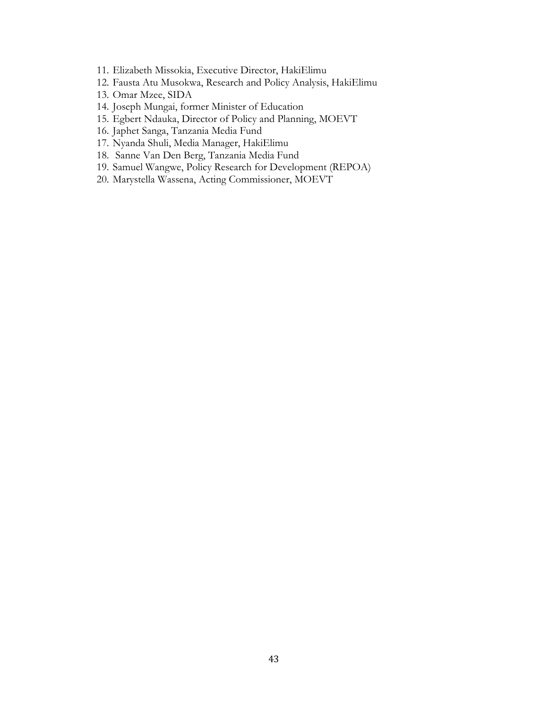- 11. Elizabeth Missokia, Executive Director, HakiElimu
- 12. Fausta Atu Musokwa, Research and Policy Analysis, HakiElimu
- 13. Omar Mzee, SIDA
- 14. Joseph Mungai, former Minister of Education
- 15. Egbert Ndauka, Director of Policy and Planning, MOEVT
- 16. Japhet Sanga, Tanzania Media Fund
- 17. Nyanda Shuli, Media Manager, HakiElimu
- 18. Sanne Van Den Berg, Tanzania Media Fund
- 19. Samuel Wangwe, Policy Research for Development (REPOA)
- 20. Marystella Wassena, Acting Commissioner, MOEVT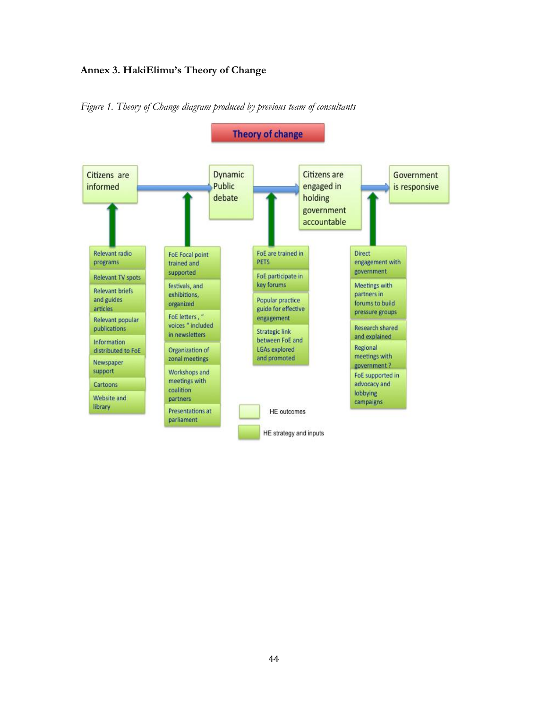# **Annex 3. HakiElimu's Theory of Change**



*Figure 1. Theory of Change diagram produced by previous team of consultants*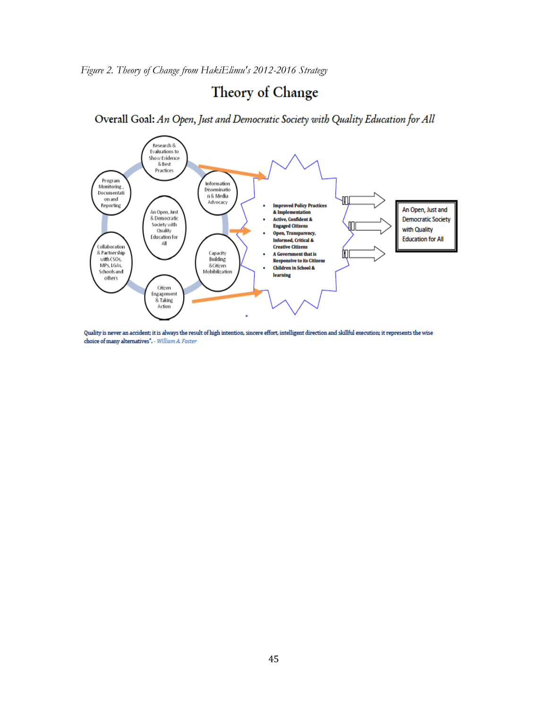*Figure 2. Theory of Change from HakiElimu's 2012-2016 Strategy*

# Theory of Change

Overall Goal: An Open, Just and Democratic Society with Quality Education for All



Quality is never an accident; it is always the result of high intention, sincere effort, intelligent direction and skillful execution; it represents the wise choice of many alternatives". - William A. Foster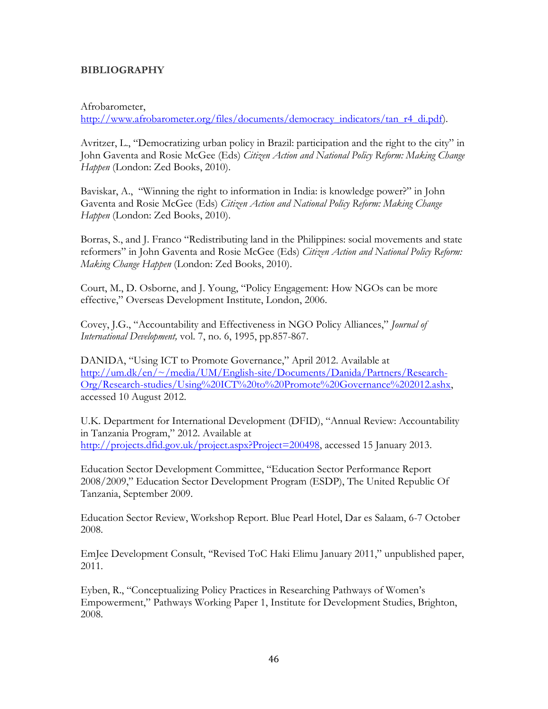# **BIBLIOGRAPHY**

# Afrobarometer,

[http://www.afrobarometer.org/files/documents/democracy\\_indicators/tan\\_r4\\_di.pdf\)](http://www.afrobarometer.org/files/documents/democracy_indicators/tan_r4_di.pdf).

Avritzer, L., "Democratizing urban policy in Brazil: participation and the right to the city" in John Gaventa and Rosie McGee (Eds) *Citizen Action and National Policy Reform: Making Change Happen* (London: Zed Books, 2010).

Baviskar, A., "Winning the right to information in India: is knowledge power?" in John Gaventa and Rosie McGee (Eds) *Citizen Action and National Policy Reform: Making Change Happen* (London: Zed Books, 2010).

Borras, S., and J. Franco "Redistributing land in the Philippines: social movements and state reformers" in John Gaventa and Rosie McGee (Eds) *Citizen Action and National Policy Reform: Making Change Happen* (London: Zed Books, 2010).

Court, M., D. Osborne, and J. Young, "Policy Engagement: How NGOs can be more effective," Overseas Development Institute, London, 2006.

Covey, J.G., "Accountability and Effectiveness in NGO Policy Alliances," *Journal of International Development,* vol. 7, no. 6, 1995, pp.857-867.

DANIDA, "Using ICT to Promote Governance," April 2012. Available at [http://um.dk/en/~/media/UM/English-site/Documents/Danida/Partners/Research-](http://um.dk/en/~/media/UM/English-site/Documents/Danida/Partners/Research-Org/Research-studies/Using%20ICT%20to%20Promote%20Governance%202012.ashx)[Org/Research-studies/Using%20ICT%20to%20Promote%20Governance%202012.ashx,](http://um.dk/en/~/media/UM/English-site/Documents/Danida/Partners/Research-Org/Research-studies/Using%20ICT%20to%20Promote%20Governance%202012.ashx) accessed 10 August 2012.

U.K. Department for International Development (DFID), "Annual Review: Accountability in Tanzania Program," 2012. Available at [http://projects.dfid.gov.uk/project.aspx?Project=200498,](http://projects.dfid.gov.uk/project.aspx?Project=200498) accessed 15 January 2013.

Education Sector Development Committee, "Education Sector Performance Report 2008/2009," Education Sector Development Program (ESDP), The United Republic Of Tanzania, September 2009.

Education Sector Review, Workshop Report. Blue Pearl Hotel, Dar es Salaam, 6-7 October 2008.

EmJee Development Consult, ''Revised ToC Haki Elimu January 2011," unpublished paper, 2011.

Eyben, R., "Conceptualizing Policy Practices in Researching Pathways of Women's Empowerment," Pathways Working Paper 1, Institute for Development Studies, Brighton, 2008.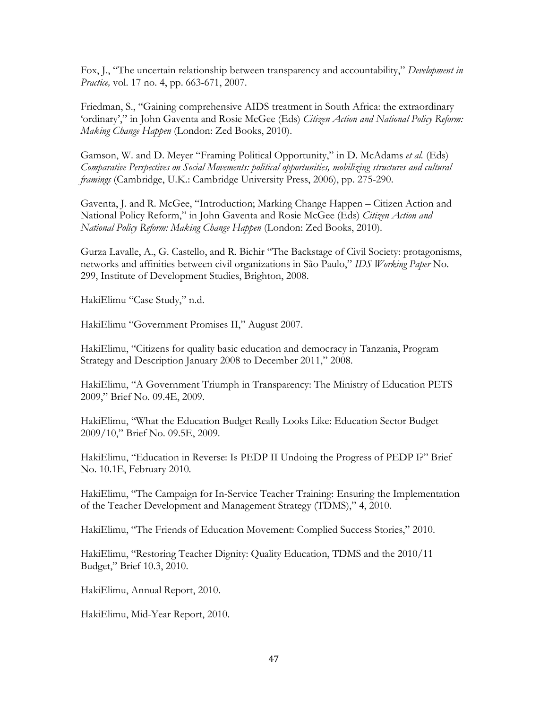Fox, J., "The uncertain relationship between transparency and accountability," *Development in Practice,* vol. 17 no. 4, pp. 663-671, 2007.

Friedman, S., "Gaining comprehensive AIDS treatment in South Africa: the extraordinary 'ordinary'," in John Gaventa and Rosie McGee (Eds) *Citizen Action and National Policy Reform: Making Change Happen* (London: Zed Books, 2010).

Gamson, W. and D. Meyer "Framing Political Opportunity," in D. McAdams *et al.* (Eds) *Comparative Perspectives on Social Movements: political opportunities, mobilizing structures and cultural framings* (Cambridge, U.K.: Cambridge University Press, 2006), pp. 275-290.

Gaventa, J. and R. McGee, "Introduction; Marking Change Happen – Citizen Action and National Policy Reform," in John Gaventa and Rosie McGee (Eds) *Citizen Action and National Policy Reform: Making Change Happen* (London: Zed Books, 2010).

Gurza Lavalle, A., G. Castello, and R. Bichir "The Backstage of Civil Society: protagonisms, networks and affinities between civil organizations in São Paulo," *IDS Working Paper* No. 299, Institute of Development Studies, Brighton, 2008.

HakiElimu "Case Study," n.d.

HakiElimu "Government Promises II," August 2007.

HakiElimu, "Citizens for quality basic education and democracy in Tanzania, Program Strategy and Description January 2008 to December 2011," 2008.

HakiElimu, "A Government Triumph in Transparency: The Ministry of Education PETS 2009," Brief No. 09.4E, 2009.

HakiElimu, "What the Education Budget Really Looks Like: Education Sector Budget 2009/10," Brief No. 09.5E, 2009.

HakiElimu, "Education in Reverse: Is PEDP II Undoing the Progress of PEDP I?" Brief No. 10.1E, February 2010.

HakiElimu, "The Campaign for In-Service Teacher Training: Ensuring the Implementation of the Teacher Development and Management Strategy (TDMS)," 4, 2010.

HakiElimu, "The Friends of Education Movement: Complied Success Stories," 2010.

HakiElimu, "Restoring Teacher Dignity: Quality Education, TDMS and the 2010/11 Budget," Brief 10.3, 2010.

HakiElimu, Annual Report, 2010.

HakiElimu, Mid-Year Report, 2010.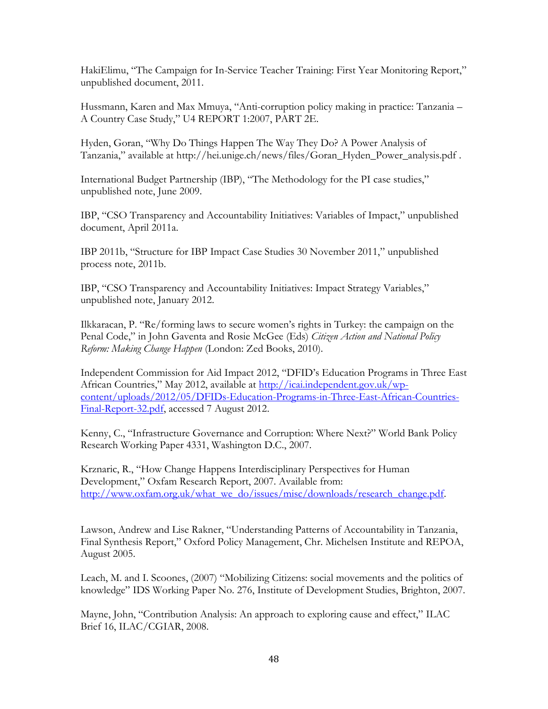HakiElimu, "The Campaign for In-Service Teacher Training: First Year Monitoring Report," unpublished document, 2011.

Hussmann, Karen and Max Mmuya, "Anti-corruption policy making in practice: Tanzania – A Country Case Study," U4 REPORT 1:2007, PART 2E.

Hyden, Goran, "Why Do Things Happen The Way They Do? A Power Analysis of Tanzania," available at http://hei.unige.ch/news/files/Goran\_Hyden\_Power\_analysis.pdf .

International Budget Partnership (IBP), "The Methodology for the PI case studies," unpublished note, June 2009.

IBP, "CSO Transparency and Accountability Initiatives: Variables of Impact," unpublished document, April 2011a.

IBP 2011b, "Structure for IBP Impact Case Studies 30 November 2011," unpublished process note, 2011b.

IBP, "CSO Transparency and Accountability Initiatives: Impact Strategy Variables," unpublished note, January 2012.

Ilkkaracan, P. "Re/forming laws to secure women's rights in Turkey: the campaign on the Penal Code," in John Gaventa and Rosie McGee (Eds) *Citizen Action and National Policy Reform: Making Change Happen* (London: Zed Books, 2010).

Independent Commission for Aid Impact 2012, "DFID's Education Programs in Three East African Countries," May 2012, available at [http://icai.independent.gov.uk/wp](http://icai.independent.gov.uk/wp-content/uploads/2012/05/DFIDs-Education-Programmes-in-Three-East-African-Countries-Final-Report-32.pdf)[content/uploads/2012/05/DFIDs-Education-Programs-in-Three-East-African-Countries-](http://icai.independent.gov.uk/wp-content/uploads/2012/05/DFIDs-Education-Programmes-in-Three-East-African-Countries-Final-Report-32.pdf)[Final-Report-32.pdf,](http://icai.independent.gov.uk/wp-content/uploads/2012/05/DFIDs-Education-Programmes-in-Three-East-African-Countries-Final-Report-32.pdf) accessed 7 August 2012.

Kenny, C., "Infrastructure Governance and Corruption: Where Next?" World Bank Policy Research Working Paper 4331, Washington D.C., 2007.

Krznaric, R., "How Change Happens Interdisciplinary Perspectives for Human Development," Oxfam Research Report, 2007. Available from: [http://www.oxfam.org.uk/what\\_we\\_do/issues/misc/downloads/research\\_change.pdf.](http://www.oxfam.org.uk/what_we_do/issues/misc/downloads/research_change.pdf)

Lawson, Andrew and Lise Rakner, "Understanding Patterns of Accountability in Tanzania, Final Synthesis Report," Oxford Policy Management, Chr. Michelsen Institute and REPOA, August 2005.

Leach, M. and I. Scoones, (2007) "Mobilizing Citizens: social movements and the politics of knowledge" IDS Working Paper No. 276, Institute of Development Studies, Brighton, 2007.

Mayne, John, "Contribution Analysis: An approach to exploring cause and effect," ILAC Brief 16, ILAC/CGIAR, 2008.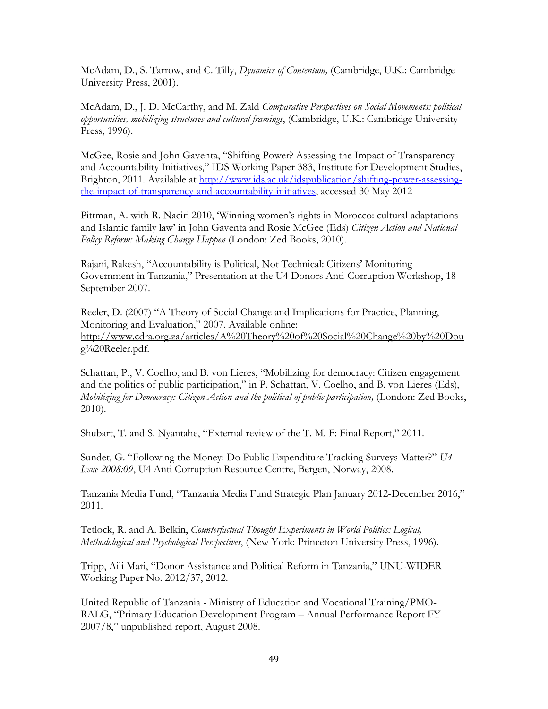McAdam, D., S. Tarrow, and C. Tilly, *Dynamics of Contention,* (Cambridge, U.K.: Cambridge University Press, 2001).

McAdam, D., J. D. McCarthy, and M. Zald *Comparative Perspectives on Social Movements: political opportunities, mobilizing structures and cultural framings*, (Cambridge, U.K.: Cambridge University Press, 1996).

McGee, Rosie and John Gaventa, "Shifting Power? Assessing the Impact of Transparency and Accountability Initiatives," IDS Working Paper 383, Institute for Development Studies, Brighton, 2011. Available at [http://www.ids.ac.uk/idspublication/shifting-power-assessing](http://www.ids.ac.uk/idspublication/shifting-power-assessing-the-impact-of-transparency-and-accountability-initiatives)[the-impact-of-transparency-and-accountability-initiatives,](http://www.ids.ac.uk/idspublication/shifting-power-assessing-the-impact-of-transparency-and-accountability-initiatives) accessed 30 May 2012

Pittman, A. with R. Naciri 2010, 'Winning women's rights in Morocco: cultural adaptations and Islamic family law' in John Gaventa and Rosie McGee (Eds) *Citizen Action and National Policy Reform: Making Change Happen* (London: Zed Books, 2010).

Rajani, Rakesh, "Accountability is Political, Not Technical: Citizens' Monitoring Government in Tanzania," Presentation at the U4 Donors Anti-Corruption Workshop, 18 September 2007.

Reeler, D. (2007) "A Theory of Social Change and Implications for Practice, Planning, Monitoring and Evaluation," 2007. Available online: [http://www.cdra.org.za/articles/A%20Theory%20of%20Social%20Change%20by%20Dou](http://www.cdra.org.za/articles/A%20Theory%20of%20Social%20Change%20by%20Doug%20Reeler.pdf) [g%20Reeler.pdf.](http://www.cdra.org.za/articles/A%20Theory%20of%20Social%20Change%20by%20Doug%20Reeler.pdf)

Schattan, P., V. Coelho, and B. von Lieres, "Mobilizing for democracy: Citizen engagement and the politics of public participation," in P. Schattan, V. Coelho, and B. von Lieres (Eds), *Mobilizing for Democracy: Citizen Action and the political of public participation,* (London: Zed Books, 2010).

Shubart, T. and S. Nyantahe, "External review of the T. M. F: Final Report," 2011.

Sundet, G. "Following the Money: Do Public Expenditure Tracking Surveys Matter?" *U4 Issue 2008:09*, U4 Anti Corruption Resource Centre, Bergen, Norway, 2008.

Tanzania Media Fund, "Tanzania Media Fund Strategic Plan January 2012-December 2016," 2011.

Tetlock, R. and A. Belkin, *Counterfactual Thought Experiments in World Politics: Logical, Methodological and Psychological Perspectives*, (New York: Princeton University Press, 1996).

Tripp, Aili Mari, "Donor Assistance and Political Reform in Tanzania," UNU-WIDER Working Paper No. 2012/37, 2012.

United Republic of Tanzania - Ministry of Education and Vocational Training/PMO-RALG, "Primary Education Development Program – Annual Performance Report FY 2007/8," unpublished report, August 2008.